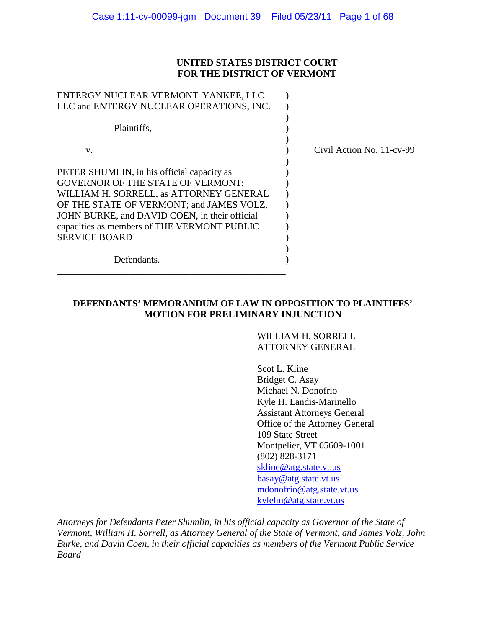# **UNITED STATES DISTRICT COURT FOR THE DISTRICT OF VERMONT**

| ENTERGY NUCLEAR VERMONT YANKEE, LLC           |                           |
|-----------------------------------------------|---------------------------|
| LLC and ENTERGY NUCLEAR OPERATIONS, INC.      |                           |
|                                               |                           |
| Plaintiffs,                                   |                           |
|                                               |                           |
| V.                                            | Civil Action No. 11-cv-99 |
|                                               |                           |
| PETER SHUMLIN, in his official capacity as    |                           |
| <b>GOVERNOR OF THE STATE OF VERMONT;</b>      |                           |
| WILLIAM H. SORRELL, as ATTORNEY GENERAL       |                           |
| OF THE STATE OF VERMONT; and JAMES VOLZ,      |                           |
| JOHN BURKE, and DAVID COEN, in their official |                           |
| capacities as members of THE VERMONT PUBLIC   |                           |
| <b>SERVICE BOARD</b>                          |                           |
|                                               |                           |
| Defendants.                                   |                           |
|                                               |                           |
|                                               |                           |

# **DEFENDANTS' MEMORANDUM OF LAW IN OPPOSITION TO PLAINTIFFS' MOTION FOR PRELIMINARY INJUNCTION**

WILLIAM H. SORRELL ATTORNEY GENERAL

Scot L. Kline Bridget C. Asay Michael N. Donofrio Kyle H. Landis-Marinello Assistant Attorneys General Office of the Attorney General 109 State Street Montpelier, VT 05609-1001 (802) 828-3171 [skline@atg.state.vt.us](mailto:skline@atg.state.vt.us) [basay@atg.state.vt.us](mailto:basay@atg.state.vt.us) [mdonofrio@atg.state.vt.us](mailto:mdonofrio@atg.state.vt.us) [kylelm@atg.state.vt.us](mailto:kylelm@atg.state.vt.us)

*Attorneys for Defendants Peter Shumlin, in his official capacity as Governor of the State of Vermont, William H. Sorrell, as Attorney General of the State of Vermont, and James Volz, John Burke, and Davin Coen, in their official capacities as members of the Vermont Public Service Board*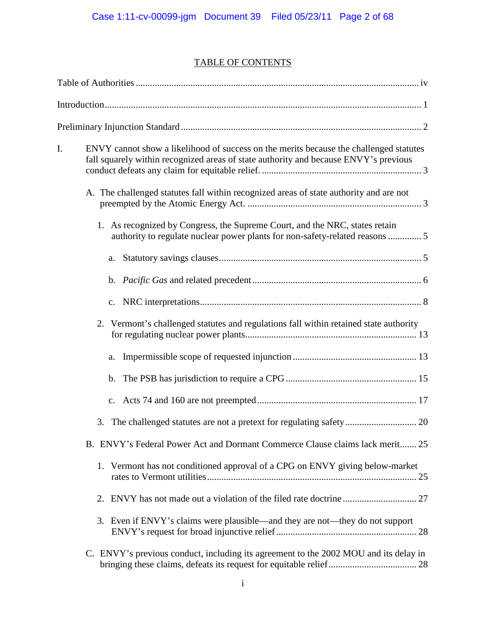# TABLE OF CONTENTS

| I. | ENVY cannot show a likelihood of success on the merits because the challenged statutes<br>fall squarely within recognized areas of state authority and because ENVY's previous |  |
|----|--------------------------------------------------------------------------------------------------------------------------------------------------------------------------------|--|
|    | A. The challenged statutes fall within recognized areas of state authority and are not                                                                                         |  |
|    | 1. As recognized by Congress, the Supreme Court, and the NRC, states retain<br>authority to regulate nuclear power plants for non-safety-related reasons  5                    |  |
|    |                                                                                                                                                                                |  |
|    |                                                                                                                                                                                |  |
|    | c.                                                                                                                                                                             |  |
|    | 2. Vermont's challenged statutes and regulations fall within retained state authority                                                                                          |  |
|    | a.                                                                                                                                                                             |  |
|    |                                                                                                                                                                                |  |
|    |                                                                                                                                                                                |  |
|    |                                                                                                                                                                                |  |
|    | B. ENVY's Federal Power Act and Dormant Commerce Clause claims lack merit 25                                                                                                   |  |
|    | 1. Vermont has not conditioned approval of a CPG on ENVY giving below-market                                                                                                   |  |
|    | 2.                                                                                                                                                                             |  |
|    | 3. Even if ENVY's claims were plausible—and they are not—they do not support                                                                                                   |  |
|    | C. ENVY's previous conduct, including its agreement to the 2002 MOU and its delay in                                                                                           |  |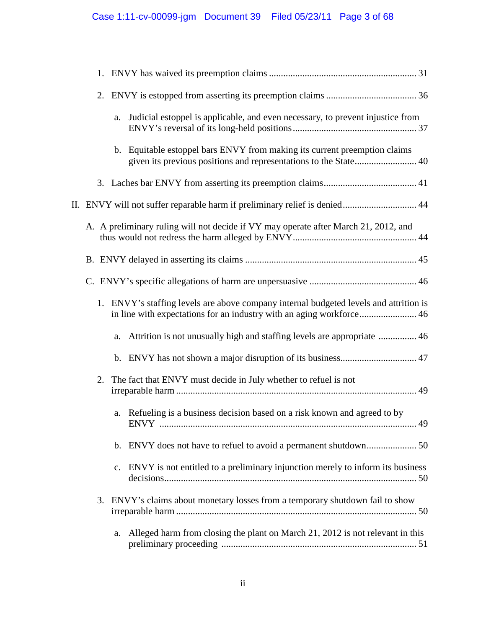|    | a.             | Judicial estoppel is applicable, and even necessary, to prevent injustice from                                                                                |  |
|----|----------------|---------------------------------------------------------------------------------------------------------------------------------------------------------------|--|
|    |                | b. Equitable estoppel bars ENVY from making its current preemption claims<br>given its previous positions and representations to the State 40                 |  |
|    |                |                                                                                                                                                               |  |
|    |                | II. ENVY will not suffer reparable harm if preliminary relief is denied 44                                                                                    |  |
|    |                | A. A preliminary ruling will not decide if VY may operate after March 21, 2012, and                                                                           |  |
|    |                |                                                                                                                                                               |  |
|    |                |                                                                                                                                                               |  |
|    |                | 1. ENVY's staffing levels are above company internal budgeted levels and attrition is<br>in line with expectations for an industry with an aging workforce 46 |  |
|    | a.             |                                                                                                                                                               |  |
|    |                |                                                                                                                                                               |  |
| 2. |                | The fact that ENVY must decide in July whether to refuel is not                                                                                               |  |
|    |                | a. Refueling is a business decision based on a risk known and agreed to by                                                                                    |  |
|    |                |                                                                                                                                                               |  |
|    | $\mathbf{c}$ . | ENVY is not entitled to a preliminary injunction merely to inform its business                                                                                |  |
|    |                | 3. ENVY's claims about monetary losses from a temporary shutdown fail to show                                                                                 |  |
|    | a.             | Alleged harm from closing the plant on March 21, 2012 is not relevant in this                                                                                 |  |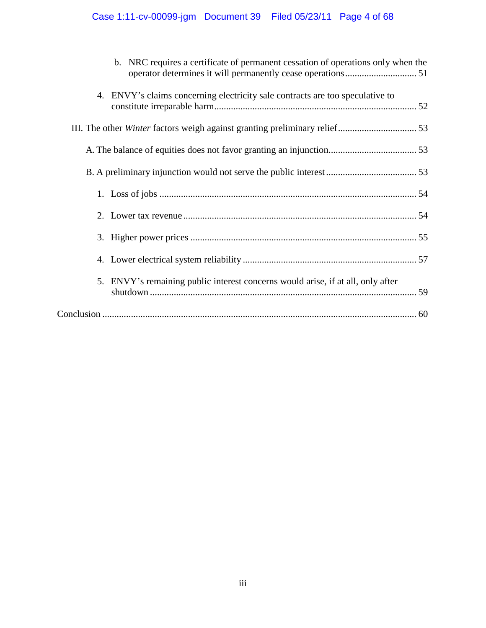# Case 1:11-cv-00099-jgm Document 39 Filed 05/23/11 Page 4 of 68

| b. NRC requires a certificate of permanent cessation of operations only when the |  |
|----------------------------------------------------------------------------------|--|
| 4. ENVY's claims concerning electricity sale contracts are too speculative to    |  |
|                                                                                  |  |
|                                                                                  |  |
|                                                                                  |  |
|                                                                                  |  |
|                                                                                  |  |
|                                                                                  |  |
|                                                                                  |  |
| 5. ENVY's remaining public interest concerns would arise, if at all, only after  |  |
|                                                                                  |  |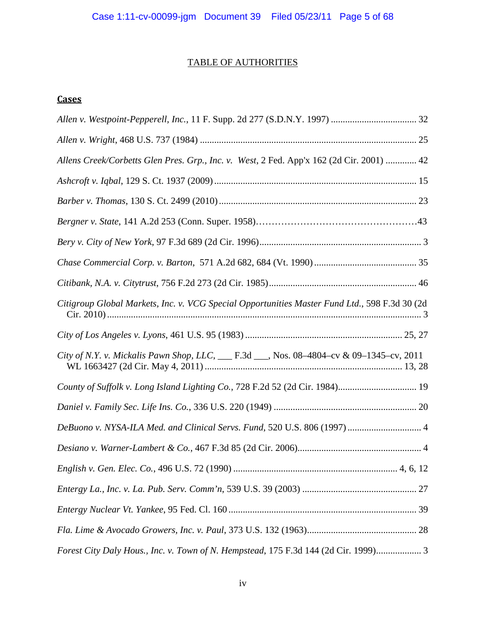# TABLE OF AUTHORITIES

# **Cases**

| Allens Creek/Corbetts Glen Pres. Grp., Inc. v. West, 2 Fed. App'x 162 (2d Cir. 2001)  42      |
|-----------------------------------------------------------------------------------------------|
|                                                                                               |
|                                                                                               |
|                                                                                               |
|                                                                                               |
|                                                                                               |
|                                                                                               |
| Citigroup Global Markets, Inc. v. VCG Special Opportunities Master Fund Ltd., 598 F.3d 30 (2d |
|                                                                                               |
| City of N.Y. v. Mickalis Pawn Shop, LLC, __ F.3d __, Nos. 08-4804-cv & 09-1345-cv, 2011       |
| County of Suffolk v. Long Island Lighting Co., 728 F.2d 52 (2d Cir. 1984) 19                  |
|                                                                                               |
| DeBuono v. NYSA-ILA Med. and Clinical Servs. Fund, 520 U.S. 806 (1997)  4                     |
|                                                                                               |
|                                                                                               |
|                                                                                               |
|                                                                                               |
|                                                                                               |
| Forest City Daly Hous., Inc. v. Town of N. Hempstead, 175 F.3d 144 (2d Cir. 1999)             |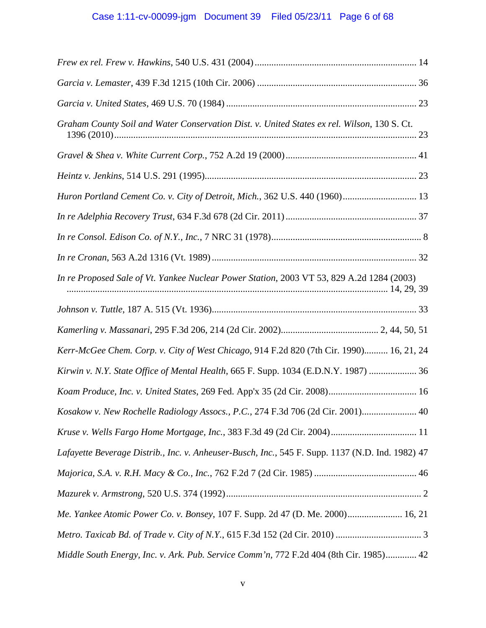| Graham County Soil and Water Conservation Dist. v. United States ex rel. Wilson, 130 S. Ct.      |
|--------------------------------------------------------------------------------------------------|
|                                                                                                  |
|                                                                                                  |
| Huron Portland Cement Co. v. City of Detroit, Mich., 362 U.S. 440 (1960) 13                      |
|                                                                                                  |
|                                                                                                  |
|                                                                                                  |
| In re Proposed Sale of Vt. Yankee Nuclear Power Station, 2003 VT 53, 829 A.2d 1284 (2003)        |
|                                                                                                  |
|                                                                                                  |
| Kerr-McGee Chem. Corp. v. City of West Chicago, 914 F.2d 820 (7th Cir. 1990) 16, 21, 24          |
| Kirwin v. N.Y. State Office of Mental Health, 665 F. Supp. 1034 (E.D.N.Y. 1987)  36              |
|                                                                                                  |
| Kosakow v. New Rochelle Radiology Assocs., P.C., 274 F.3d 706 (2d Cir. 2001) 40                  |
|                                                                                                  |
| Lafayette Beverage Distrib., Inc. v. Anheuser-Busch, Inc., 545 F. Supp. 1137 (N.D. Ind. 1982) 47 |
|                                                                                                  |
|                                                                                                  |
| Me. Yankee Atomic Power Co. v. Bonsey, 107 F. Supp. 2d 47 (D. Me. 2000) 16, 21                   |
|                                                                                                  |
| Middle South Energy, Inc. v. Ark. Pub. Service Comm'n, 772 F.2d 404 (8th Cir. 1985) 42           |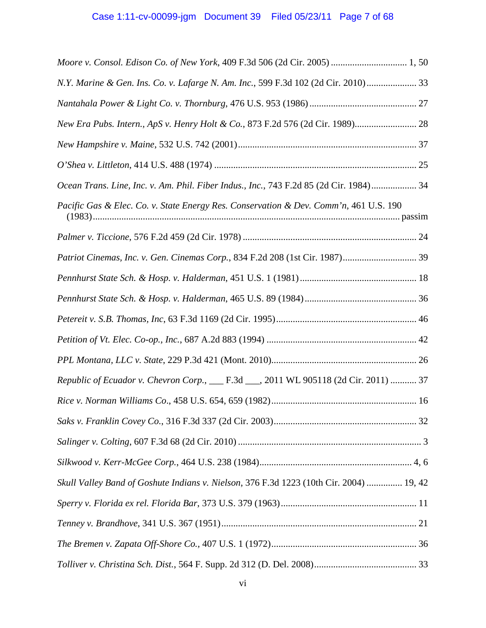| N.Y. Marine & Gen. Ins. Co. v. Lafarge N. Am. Inc., 599 F.3d 102 (2d Cir. 2010) 33      |
|-----------------------------------------------------------------------------------------|
|                                                                                         |
| New Era Pubs. Intern., ApS v. Henry Holt & Co., 873 F.2d 576 (2d Cir. 1989) 28          |
|                                                                                         |
|                                                                                         |
| Ocean Trans. Line, Inc. v. Am. Phil. Fiber Indus., Inc., 743 F.2d 85 (2d Cir. 1984) 34  |
| Pacific Gas & Elec. Co. v. State Energy Res. Conservation & Dev. Comm'n, 461 U.S. 190   |
|                                                                                         |
| Patriot Cinemas, Inc. v. Gen. Cinemas Corp., 834 F.2d 208 (1st Cir. 1987) 39            |
|                                                                                         |
|                                                                                         |
|                                                                                         |
|                                                                                         |
|                                                                                         |
| Republic of Ecuador v. Chevron Corp., __ F.3d __, 2011 WL 905118 (2d Cir. 2011)  37     |
|                                                                                         |
|                                                                                         |
|                                                                                         |
|                                                                                         |
| Skull Valley Band of Goshute Indians v. Nielson, 376 F.3d 1223 (10th Cir. 2004)  19, 42 |
|                                                                                         |
|                                                                                         |
|                                                                                         |
|                                                                                         |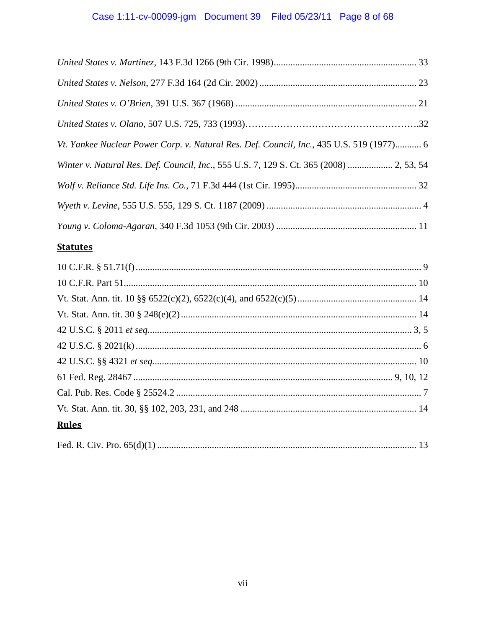# Case 1:11-cv-00099-jgm Document 39 Filed 05/23/11 Page 8 of 68

| Vt. Yankee Nuclear Power Corp. v. Natural Res. Def. Council, Inc., 435 U.S. 519 (1977) 6 |  |
|------------------------------------------------------------------------------------------|--|
| Winter v. Natural Res. Def. Council, Inc., 555 U.S. 7, 129 S. Ct. 365 (2008)  2, 53, 54  |  |
|                                                                                          |  |
|                                                                                          |  |
|                                                                                          |  |

# **Statutes**

| <b>Rules</b> |  |
|--------------|--|
|              |  |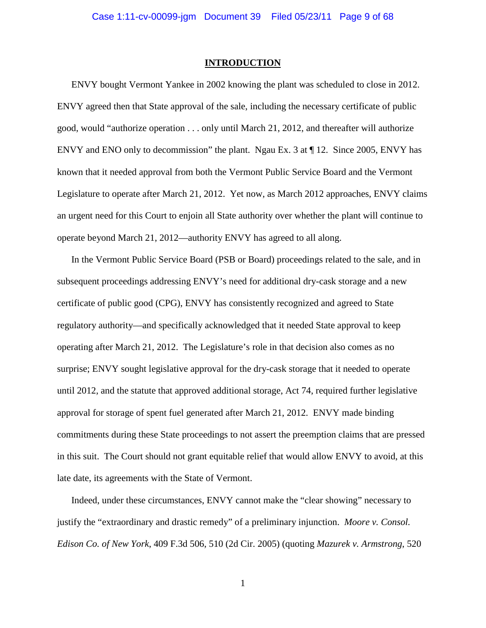#### **INTRODUCTION**

ENVY bought Vermont Yankee in 2002 knowing the plant was scheduled to close in 2012. ENVY agreed then that State approval of the sale, including the necessary certificate of public good, would "authorize operation . . . only until March 21, 2012, and thereafter will authorize ENVY and ENO only to decommission" the plant. Ngau Ex. 3 at ¶ 12. Since 2005, ENVY has known that it needed approval from both the Vermont Public Service Board and the Vermont Legislature to operate after March 21, 2012. Yet now, as March 2012 approaches, ENVY claims an urgent need for this Court to enjoin all State authority over whether the plant will continue to operate beyond March 21, 2012—authority ENVY has agreed to all along.

In the Vermont Public Service Board (PSB or Board) proceedings related to the sale, and in subsequent proceedings addressing ENVY's need for additional dry-cask storage and a new certificate of public good (CPG), ENVY has consistently recognized and agreed to State regulatory authority—and specifically acknowledged that it needed State approval to keep operating after March 21, 2012. The Legislature's role in that decision also comes as no surprise; ENVY sought legislative approval for the dry-cask storage that it needed to operate until 2012, and the statute that approved additional storage, Act 74, required further legislative approval for storage of spent fuel generated after March 21, 2012. ENVY made binding commitments during these State proceedings to not assert the preemption claims that are pressed in this suit. The Court should not grant equitable relief that would allow ENVY to avoid, at this late date, its agreements with the State of Vermont.

Indeed, under these circumstances, ENVY cannot make the "clear showing" necessary to justify the "extraordinary and drastic remedy" of a preliminary injunction. *Moore v. Consol. Edison Co. of New York*, 409 F.3d 506, 510 (2d Cir. 2005) (quoting *Mazurek v. Armstrong*, 520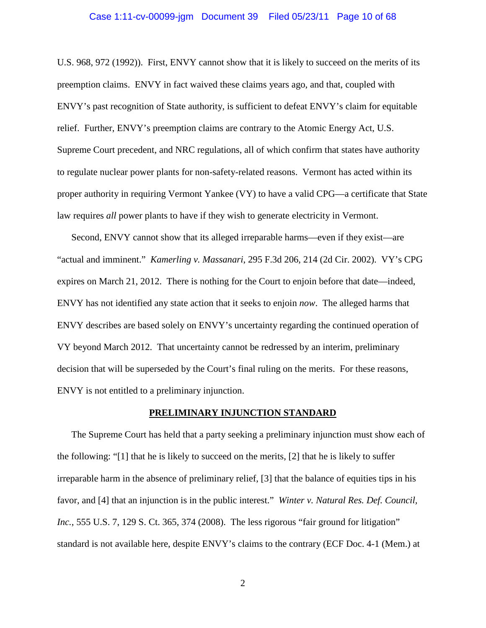#### Case 1:11-cv-00099-jgm Document 39 Filed 05/23/11 Page 10 of 68

U.S. 968, 972 (1992)). First, ENVY cannot show that it is likely to succeed on the merits of its preemption claims. ENVY in fact waived these claims years ago, and that, coupled with ENVY's past recognition of State authority, is sufficient to defeat ENVY's claim for equitable relief. Further, ENVY's preemption claims are contrary to the Atomic Energy Act, U.S. Supreme Court precedent, and NRC regulations, all of which confirm that states have authority to regulate nuclear power plants for non-safety-related reasons. Vermont has acted within its proper authority in requiring Vermont Yankee (VY) to have a valid CPG—a certificate that State law requires *all* power plants to have if they wish to generate electricity in Vermont.

Second, ENVY cannot show that its alleged irreparable harms—even if they exist—are "actual and imminent." *Kamerling v. Massanari*, 295 F.3d 206, 214 (2d Cir. 2002). VY's CPG expires on March 21, 2012. There is nothing for the Court to enjoin before that date—indeed, ENVY has not identified any state action that it seeks to enjoin *now*. The alleged harms that ENVY describes are based solely on ENVY's uncertainty regarding the continued operation of VY beyond March 2012. That uncertainty cannot be redressed by an interim, preliminary decision that will be superseded by the Court's final ruling on the merits. For these reasons, ENVY is not entitled to a preliminary injunction.

#### **PRELIMINARY INJUNCTION STANDARD**

The Supreme Court has held that a party seeking a preliminary injunction must show each of the following: "[1] that he is likely to succeed on the merits, [2] that he is likely to suffer irreparable harm in the absence of preliminary relief, [3] that the balance of equities tips in his favor, and [4] that an injunction is in the public interest." *Winter v. Natural Res. Def. Council, Inc.*, 555 U.S. 7, 129 S. Ct. 365, 374 (2008). The less rigorous "fair ground for litigation" standard is not available here, despite ENVY's claims to the contrary (ECF Doc. 4-1 (Mem.) at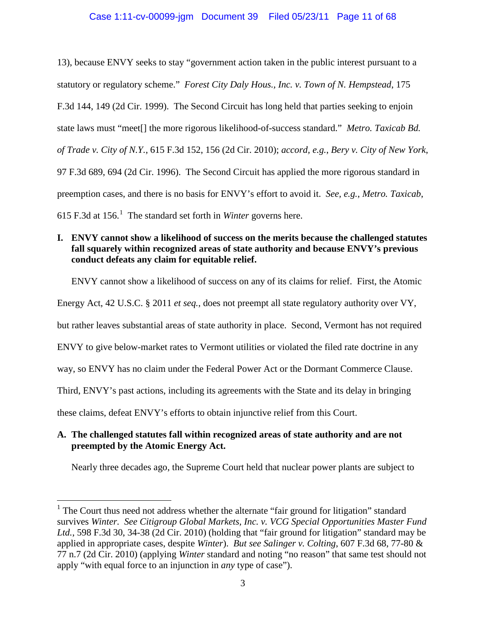# Case 1:11-cv-00099-jgm Document 39 Filed 05/23/11 Page 11 of 68

13), because ENVY seeks to stay "government action taken in the public interest pursuant to a statutory or regulatory scheme." *Forest City Daly Hous., Inc. v. Town of N. Hempstead*, 175 F.3d 144, 149 (2d Cir. 1999). The Second Circuit has long held that parties seeking to enjoin state laws must "meet[] the more rigorous likelihood-of-success standard." *Metro. Taxicab Bd. of Trade v. City of N.Y.*, 615 F.3d 152, 156 (2d Cir. 2010); *accord, e.g.*, *Bery v. City of New York*, 97 F.3d 689, 694 (2d Cir. 1996). The Second Circuit has applied the more rigorous standard in preemption cases, and there is no basis for ENVY's effort to avoid it. *See, e.g.*, *Metro. Taxicab*, 615 F.3d at 156. [1](#page-10-0) The standard set forth in *Winter* governs here.

# **I. ENVY cannot show a likelihood of success on the merits because the challenged statutes fall squarely within recognized areas of state authority and because ENVY's previous conduct defeats any claim for equitable relief.**

ENVY cannot show a likelihood of success on any of its claims for relief. First, the Atomic

Energy Act, 42 U.S.C. § 2011 *et seq.*, does not preempt all state regulatory authority over VY,

but rather leaves substantial areas of state authority in place. Second, Vermont has not required

ENVY to give below-market rates to Vermont utilities or violated the filed rate doctrine in any

way, so ENVY has no claim under the Federal Power Act or the Dormant Commerce Clause.

Third, ENVY's past actions, including its agreements with the State and its delay in bringing

these claims, defeat ENVY's efforts to obtain injunctive relief from this Court.

# **A. The challenged statutes fall within recognized areas of state authority and are not preempted by the Atomic Energy Act.**

Nearly three decades ago, the Supreme Court held that nuclear power plants are subject to

<span id="page-10-0"></span><sup>&</sup>lt;sup>1</sup> The Court thus need not address whether the alternate "fair ground for litigation" standard survives *Winter. See Citigroup Global Markets, Inc. v. VCG Special Opportunities Master Fund Ltd.*, 598 F.3d 30, 34-38 (2d Cir. 2010) (holding that "fair ground for litigation" standard may be applied in appropriate cases, despite *Winter*). *But see Salinger v. Colting*, 607 F.3d 68, 77-80 & 77 n.7 (2d Cir. 2010) (applying *Winter* standard and noting "no reason" that same test should not apply "with equal force to an injunction in *any* type of case").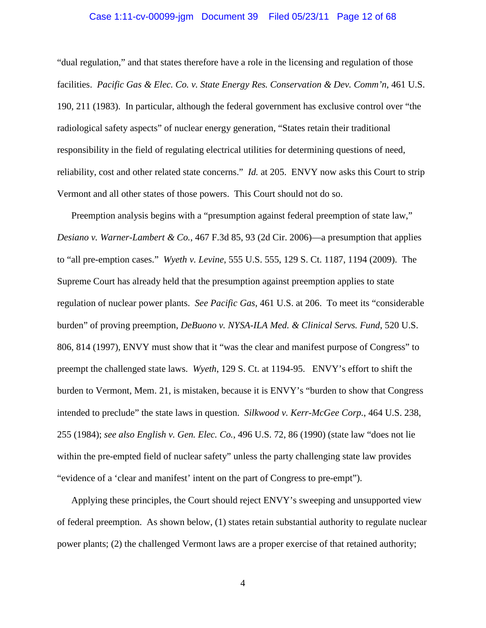#### Case 1:11-cv-00099-jgm Document 39 Filed 05/23/11 Page 12 of 68

"dual regulation," and that states therefore have a role in the licensing and regulation of those facilities. *Pacific Gas & Elec. Co. v. State Energy Res. Conservation & Dev. Comm'n*, 461 U.S. 190, 211 (1983). In particular, although the federal government has exclusive control over "the radiological safety aspects" of nuclear energy generation, "States retain their traditional responsibility in the field of regulating electrical utilities for determining questions of need, reliability, cost and other related state concerns." *Id.* at 205. ENVY now asks this Court to strip Vermont and all other states of those powers. This Court should not do so.

Preemption analysis begins with a "presumption against federal preemption of state law," *Desiano v. Warner-Lambert & Co.*, 467 F.3d 85, 93 (2d Cir. 2006)—a presumption that applies to "all pre-emption cases." *Wyeth v. Levine*, 555 U.S. 555, 129 S. Ct. 1187, 1194 (2009). The Supreme Court has already held that the presumption against preemption applies to state regulation of nuclear power plants. *See Pacific Gas*, 461 U.S. at 206. To meet its "considerable burden" of proving preemption, *DeBuono v. NYSA-ILA Med. & Clinical Servs. Fund*, 520 U.S. 806, 814 (1997), ENVY must show that it "was the clear and manifest purpose of Congress" to preempt the challenged state laws. *Wyeth*, 129 S. Ct. at 1194-95. ENVY's effort to shift the burden to Vermont, Mem. 21, is mistaken, because it is ENVY's "burden to show that Congress intended to preclude" the state laws in question. *Silkwood v. Kerr-McGee Corp.*, 464 U.S. 238, 255 (1984); *see also English v. Gen. Elec. Co.*, 496 U.S. 72, 86 (1990) (state law "does not lie within the pre-empted field of nuclear safety" unless the party challenging state law provides "evidence of a 'clear and manifest' intent on the part of Congress to pre-empt").

Applying these principles, the Court should reject ENVY's sweeping and unsupported view of federal preemption. As shown below, (1) states retain substantial authority to regulate nuclear power plants; (2) the challenged Vermont laws are a proper exercise of that retained authority;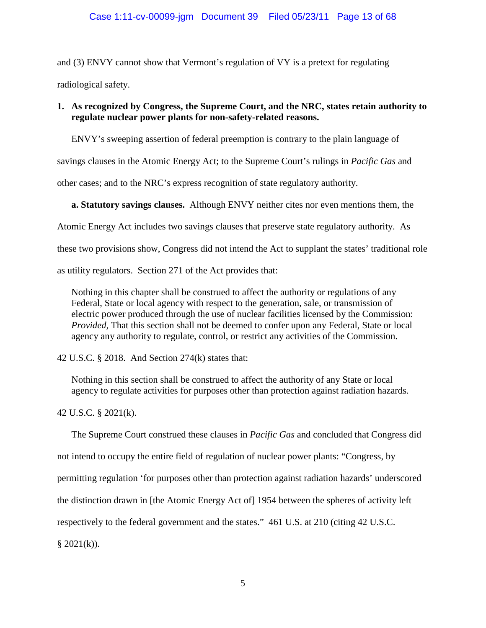and (3) ENVY cannot show that Vermont's regulation of VY is a pretext for regulating radiological safety.

# **1. As recognized by Congress, the Supreme Court, and the NRC, states retain authority to regulate nuclear power plants for non-safety-related reasons.**

ENVY's sweeping assertion of federal preemption is contrary to the plain language of

savings clauses in the Atomic Energy Act; to the Supreme Court's rulings in *Pacific Gas* and

other cases; and to the NRC's express recognition of state regulatory authority.

**a. Statutory savings clauses.** Although ENVY neither cites nor even mentions them, the

Atomic Energy Act includes two savings clauses that preserve state regulatory authority. As

these two provisions show, Congress did not intend the Act to supplant the states' traditional role

as utility regulators. Section 271 of the Act provides that:

Nothing in this chapter shall be construed to affect the authority or regulations of any Federal, State or local agency with respect to the generation, sale, or transmission of electric power produced through the use of nuclear facilities licensed by the Commission: *Provided,* That this section shall not be deemed to confer upon any Federal, State or local agency any authority to regulate, control, or restrict any activities of the Commission.

42 U.S.C. § 2018. And Section 274(k) states that:

Nothing in this section shall be construed to affect the authority of any State or local agency to regulate activities for purposes other than protection against radiation hazards.

42 U.S.C. § 2021(k).

The Supreme Court construed these clauses in *Pacific Gas* and concluded that Congress did

not intend to occupy the entire field of regulation of nuclear power plants: "Congress, by

permitting regulation 'for purposes other than protection against radiation hazards' underscored

the distinction drawn in [the Atomic Energy Act of] 1954 between the spheres of activity left

respectively to the federal government and the states." 461 U.S. at 210 (citing 42 U.S.C.

 $§ 2021(k)$ .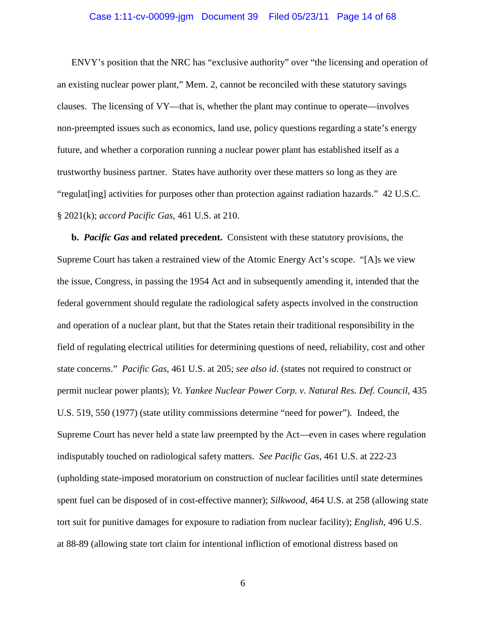#### Case 1:11-cv-00099-jgm Document 39 Filed 05/23/11 Page 14 of 68

ENVY's position that the NRC has "exclusive authority" over "the licensing and operation of an existing nuclear power plant," Mem. 2, cannot be reconciled with these statutory savings clauses. The licensing of VY—that is, whether the plant may continue to operate—involves non-preempted issues such as economics, land use, policy questions regarding a state's energy future, and whether a corporation running a nuclear power plant has established itself as a trustworthy business partner. States have authority over these matters so long as they are "regulat[ing] activities for purposes other than protection against radiation hazards." 42 U.S.C. § 2021(k); *accord Pacific Gas*, 461 U.S. at 210.

**b.** *Pacific Gas* **and related precedent.** Consistent with these statutory provisions, the Supreme Court has taken a restrained view of the Atomic Energy Act's scope. "[A]s we view the issue, Congress, in passing the 1954 Act and in subsequently amending it, intended that the federal government should regulate the radiological safety aspects involved in the construction and operation of a nuclear plant, but that the States retain their traditional responsibility in the field of regulating electrical utilities for determining questions of need, reliability, cost and other state concerns." *Pacific Gas*, 461 U.S. at 205; *see also id*. (states not required to construct or permit nuclear power plants); *Vt. Yankee Nuclear Power Corp. v. Natural Res. Def. Council*, 435 U.S. 519, 550 (1977) (state utility commissions determine "need for power"). Indeed, the Supreme Court has never held a state law preempted by the Act—even in cases where regulation indisputably touched on radiological safety matters. *See Pacific Gas*, 461 U.S. at 222-23 (upholding state-imposed moratorium on construction of nuclear facilities until state determines spent fuel can be disposed of in cost-effective manner); *Silkwood*, 464 U.S. at 258 (allowing state tort suit for punitive damages for exposure to radiation from nuclear facility); *English*, 496 U.S. at 88-89 (allowing state tort claim for intentional infliction of emotional distress based on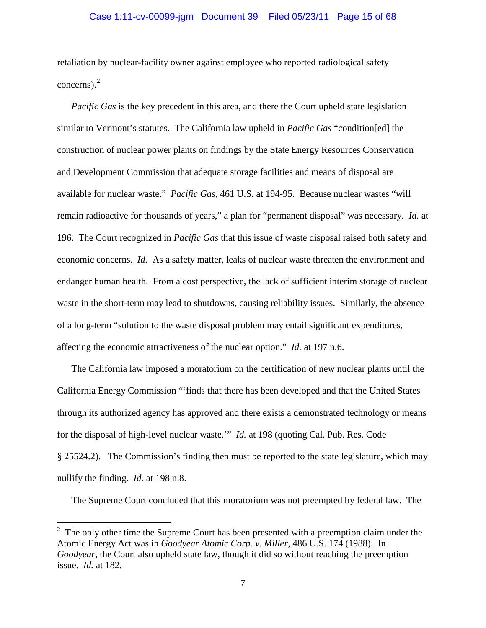#### Case 1:11-cv-00099-jgm Document 39 Filed 05/23/11 Page 15 of 68

retaliation by nuclear-facility owner against employee who reported radiological safety concerns). $<sup>2</sup>$  $<sup>2</sup>$  $<sup>2</sup>$ </sup>

*Pacific Gas* is the key precedent in this area, and there the Court upheld state legislation similar to Vermont's statutes. The California law upheld in *Pacific Gas* "condition[ed] the construction of nuclear power plants on findings by the State Energy Resources Conservation and Development Commission that adequate storage facilities and means of disposal are available for nuclear waste." *Pacific Gas,* 461 U.S. at 194-95. Because nuclear wastes "will remain radioactive for thousands of years," a plan for "permanent disposal" was necessary. *Id.* at 196. The Court recognized in *Pacific Gas* that this issue of waste disposal raised both safety and economic concerns. *Id.* As a safety matter, leaks of nuclear waste threaten the environment and endanger human health. From a cost perspective, the lack of sufficient interim storage of nuclear waste in the short-term may lead to shutdowns, causing reliability issues. Similarly, the absence of a long-term "solution to the waste disposal problem may entail significant expenditures, affecting the economic attractiveness of the nuclear option." *Id.* at 197 n.6.

The California law imposed a moratorium on the certification of new nuclear plants until the California Energy Commission "'finds that there has been developed and that the United States through its authorized agency has approved and there exists a demonstrated technology or means for the disposal of high-level nuclear waste.'" *Id.* at 198 (quoting Cal. Pub. Res. Code § 25524.2). The Commission's finding then must be reported to the state legislature, which may nullify the finding. *Id.* at 198 n.8.

The Supreme Court concluded that this moratorium was not preempted by federal law. The

<span id="page-14-0"></span> $\frac{1}{2}$  The only other time the Supreme Court has been presented with a preemption claim under the Atomic Energy Act was in *Goodyear Atomic Corp. v. Miller*, 486 U.S. 174 (1988). In *Goodyear*, the Court also upheld state law, though it did so without reaching the preemption issue. *Id.* at 182.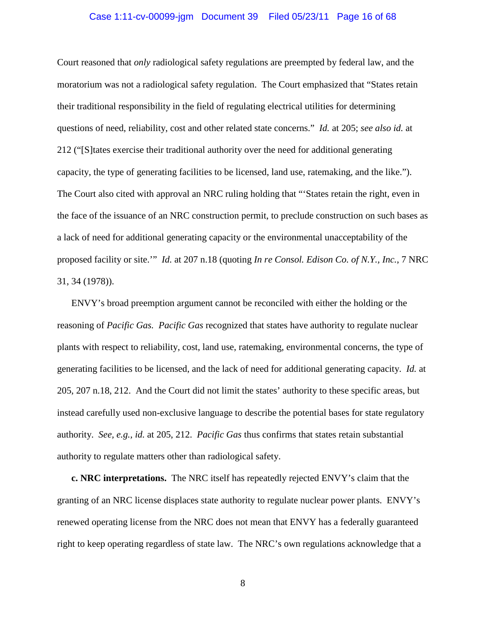#### Case 1:11-cv-00099-jgm Document 39 Filed 05/23/11 Page 16 of 68

Court reasoned that *only* radiological safety regulations are preempted by federal law, and the moratorium was not a radiological safety regulation. The Court emphasized that "States retain their traditional responsibility in the field of regulating electrical utilities for determining questions of need, reliability, cost and other related state concerns." *Id.* at 205; *see also id.* at 212 ("[S]tates exercise their traditional authority over the need for additional generating capacity, the type of generating facilities to be licensed, land use, ratemaking, and the like."). The Court also cited with approval an NRC ruling holding that "'States retain the right, even in the face of the issuance of an NRC construction permit, to preclude construction on such bases as a lack of need for additional generating capacity or the environmental unacceptability of the proposed facility or site.'" *Id.* at 207 n.18 (quoting *In re Consol. Edison Co. of N.Y., Inc.*, 7 NRC 31, 34 (1978)).

ENVY's broad preemption argument cannot be reconciled with either the holding or the reasoning of *Pacific Gas. Pacific Gas* recognized that states have authority to regulate nuclear plants with respect to reliability, cost, land use, ratemaking, environmental concerns, the type of generating facilities to be licensed, and the lack of need for additional generating capacity. *Id.* at 205, 207 n.18, 212. And the Court did not limit the states' authority to these specific areas, but instead carefully used non-exclusive language to describe the potential bases for state regulatory authority. *See, e.g., id.* at 205, 212. *Pacific Gas* thus confirms that states retain substantial authority to regulate matters other than radiological safety.

**c. NRC interpretations.** The NRC itself has repeatedly rejected ENVY's claim that the granting of an NRC license displaces state authority to regulate nuclear power plants. ENVY's renewed operating license from the NRC does not mean that ENVY has a federally guaranteed right to keep operating regardless of state law. The NRC's own regulations acknowledge that a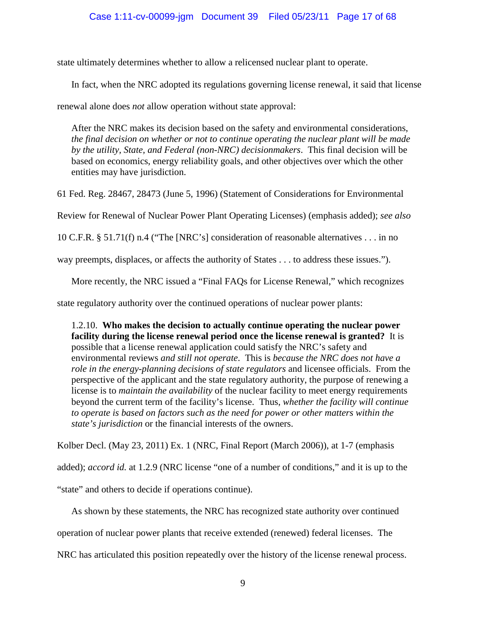state ultimately determines whether to allow a relicensed nuclear plant to operate.

In fact, when the NRC adopted its regulations governing license renewal, it said that license

renewal alone does *not* allow operation without state approval:

After the NRC makes its decision based on the safety and environmental considerations, *the final decision on whether or not to continue operating the nuclear plant will be made by the utility, State, and Federal (non-NRC) decisionmakers*. This final decision will be based on economics, energy reliability goals, and other objectives over which the other entities may have jurisdiction.

61 Fed. Reg. 28467, 28473 (June 5, 1996) (Statement of Considerations for Environmental

Review for Renewal of Nuclear Power Plant Operating Licenses) (emphasis added); *see also*

10 C.F.R. § 51.71(f) n.4 ("The [NRC's] consideration of reasonable alternatives . . . in no

way preempts, displaces, or affects the authority of States . . . to address these issues.").

More recently, the NRC issued a "Final FAQs for License Renewal," which recognizes

state regulatory authority over the continued operations of nuclear power plants:

1.2.10. **Who makes the decision to actually continue operating the nuclear power facility during the license renewal period once the license renewal is granted?** It is possible that a license renewal application could satisfy the NRC's safety and environmental reviews *and still not operate*. This is *because the NRC does not have a role in the energy-planning decisions of state regulators* and licensee officials. From the perspective of the applicant and the state regulatory authority, the purpose of renewing a license is to *maintain the availability* of the nuclear facility to meet energy requirements beyond the current term of the facility's license. Thus, *whether the facility will continue*  to operate is based on factors such as the need for power or other matters within the *state's jurisdiction* or the financial interests of the owners.

Kolber Decl. (May 23, 2011) Ex. 1 (NRC, Final Report (March 2006)), at 1-7 (emphasis

added); *accord id.* at 1.2.9 (NRC license "one of a number of conditions," and it is up to the

"state" and others to decide if operations continue).

As shown by these statements, the NRC has recognized state authority over continued

operation of nuclear power plants that receive extended (renewed) federal licenses. The

NRC has articulated this position repeatedly over the history of the license renewal process.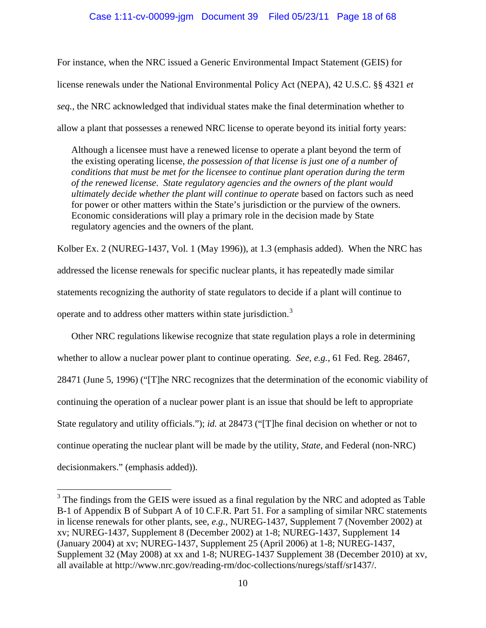# Case 1:11-cv-00099-jgm Document 39 Filed 05/23/11 Page 18 of 68

For instance, when the NRC issued a Generic Environmental Impact Statement (GEIS) for license renewals under the National Environmental Policy Act (NEPA), 42 U.S.C. §§ 4321 *et seq.*, the NRC acknowledged that individual states make the final determination whether to allow a plant that possesses a renewed NRC license to operate beyond its initial forty years:

Although a licensee must have a renewed license to operate a plant beyond the term of the existing operating license, *the possession of that license is just one of a number of conditions that must be met for the licensee to continue plant operation during the term of the renewed license*. *State regulatory agencies and the owners of the plant would ultimately decide whether the plant will continue to operate* based on factors such as need for power or other matters within the State's jurisdiction or the purview of the owners. Economic considerations will play a primary role in the decision made by State regulatory agencies and the owners of the plant.

Kolber Ex. 2 (NUREG-1437, Vol. 1 (May 1996)), at 1.3 (emphasis added). When the NRC has addressed the license renewals for specific nuclear plants, it has repeatedly made similar statements recognizing the authority of state regulators to decide if a plant will continue to operate and to address other matters within state jurisdiction.[3](#page-17-0)

Other NRC regulations likewise recognize that state regulation plays a role in determining whether to allow a nuclear power plant to continue operating. *See, e.g.*, 61 Fed. Reg. 28467, 28471 (June 5, 1996) ("[T]he NRC recognizes that the determination of the economic viability of continuing the operation of a nuclear power plant is an issue that should be left to appropriate State regulatory and utility officials."); *id.* at 28473 ("[T]he final decision on whether or not to continue operating the nuclear plant will be made by the utility, *State*, and Federal (non-NRC) decisionmakers." (emphasis added)).

<span id="page-17-0"></span><sup>&</sup>lt;sup>3</sup> The findings from the GEIS were issued as a final regulation by the NRC and adopted as Table B-1 of Appendix B of Subpart A of 10 C.F.R. Part 51. For a sampling of similar NRC statements in license renewals for other plants, see, *e.g.*, NUREG-1437, Supplement 7 (November 2002) at xv; NUREG-1437, Supplement 8 (December 2002) at 1-8; NUREG-1437, Supplement 14 (January 2004) at xv; NUREG-1437, Supplement 25 (April 2006) at 1-8; NUREG-1437, Supplement 32 (May 2008) at xx and 1-8; NUREG-1437 Supplement 38 (December 2010) at xv, all available at http://www.nrc.gov/reading-rm/doc-collections/nuregs/staff/sr1437/.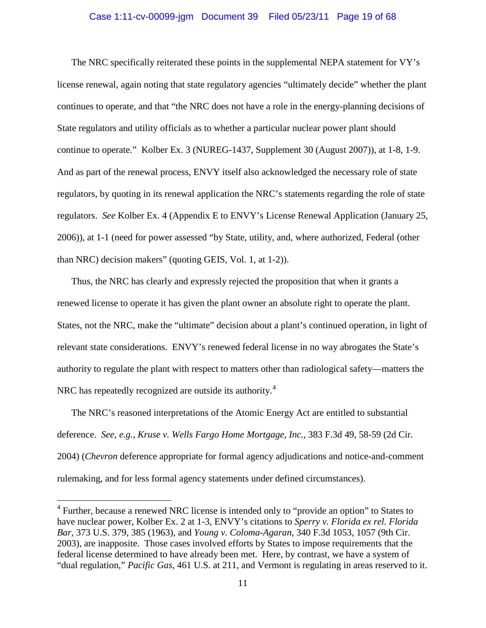#### Case 1:11-cv-00099-jgm Document 39 Filed 05/23/11 Page 19 of 68

The NRC specifically reiterated these points in the supplemental NEPA statement for VY's license renewal, again noting that state regulatory agencies "ultimately decide" whether the plant continues to operate, and that "the NRC does not have a role in the energy-planning decisions of State regulators and utility officials as to whether a particular nuclear power plant should continue to operate." Kolber Ex. 3 (NUREG-1437, Supplement 30 (August 2007)), at 1-8, 1-9. And as part of the renewal process, ENVY itself also acknowledged the necessary role of state regulators, by quoting in its renewal application the NRC's statements regarding the role of state regulators. *See* Kolber Ex. 4 (Appendix E to ENVY's License Renewal Application (January 25, 2006)), at 1-1 (need for power assessed "by State, utility, and, where authorized, Federal (other than NRC) decision makers" (quoting GEIS, Vol. 1, at 1-2)).

Thus, the NRC has clearly and expressly rejected the proposition that when it grants a renewed license to operate it has given the plant owner an absolute right to operate the plant. States, not the NRC, make the "ultimate" decision about a plant's continued operation, in light of relevant state considerations. ENVY's renewed federal license in no way abrogates the State's authority to regulate the plant with respect to matters other than radiological safety—matters the NRC has repeatedly recognized are outside its authority.<sup>[4](#page-18-0)</sup>

The NRC's reasoned interpretations of the Atomic Energy Act are entitled to substantial deference. *See, e.g.*, *Kruse v. Wells Fargo Home Mortgage, Inc.*, 383 F.3d 49, 58-59 (2d Cir. 2004) (*Chevron* deference appropriate for formal agency adjudications and notice-and-comment rulemaking, and for less formal agency statements under defined circumstances).

<span id="page-18-0"></span><sup>&</sup>lt;sup>4</sup> Further, because a renewed NRC license is intended only to "provide an option" to States to have nuclear power, Kolber Ex. 2 at 1-3, ENVY's citations to *Sperry v. Florida ex rel. Florida Bar*, 373 U.S. 379, 385 (1963), and *Young v. Coloma-Agaran*, 340 F.3d 1053, 1057 (9th Cir. 2003), are inapposite. Those cases involved efforts by States to impose requirements that the federal license determined to have already been met. Here, by contrast, we have a system of "dual regulation," *Pacific Gas*, 461 U.S. at 211, and Vermont is regulating in areas reserved to it.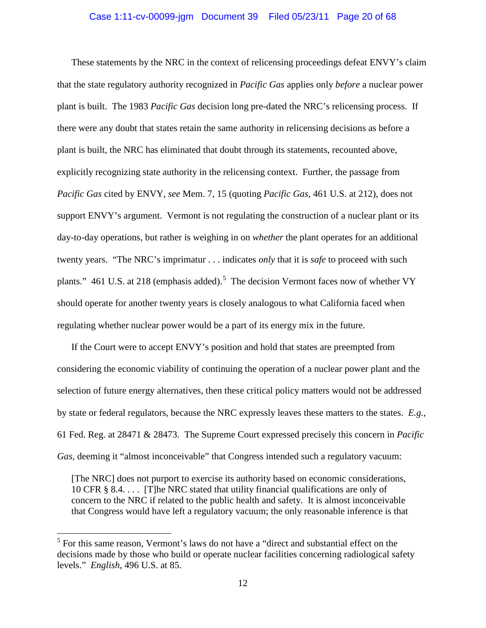#### Case 1:11-cv-00099-jgm Document 39 Filed 05/23/11 Page 20 of 68

These statements by the NRC in the context of relicensing proceedings defeat ENVY's claim that the state regulatory authority recognized in *Pacific Gas* applies only *before* a nuclear power plant is built. The 1983 *Pacific Gas* decision long pre-dated the NRC's relicensing process. If there were any doubt that states retain the same authority in relicensing decisions as before a plant is built, the NRC has eliminated that doubt through its statements, recounted above, explicitly recognizing state authority in the relicensing context. Further, the passage from *Pacific Gas* cited by ENVY, *see* Mem. 7, 15 (quoting *Pacific Gas*, 461 U.S. at 212), does not support ENVY's argument. Vermont is not regulating the construction of a nuclear plant or its day-to-day operations, but rather is weighing in on *whether* the plant operates for an additional twenty years. "The NRC's imprimatur . . . indicates *only* that it is *safe* to proceed with such plants." 461 U.S. at 218 (emphasis added).<sup>[5](#page-19-0)</sup> The decision Vermont faces now of whether VY should operate for another twenty years is closely analogous to what California faced when regulating whether nuclear power would be a part of its energy mix in the future.

If the Court were to accept ENVY's position and hold that states are preempted from considering the economic viability of continuing the operation of a nuclear power plant and the selection of future energy alternatives, then these critical policy matters would not be addressed by state or federal regulators, because the NRC expressly leaves these matters to the states. *E.g.*, 61 Fed. Reg. at 28471 & 28473. The Supreme Court expressed precisely this concern in *Pacific Gas, deeming it "almost inconceivable" that Congress intended such a regulatory vacuum:* 

[The NRC] does not purport to exercise its authority based on economic considerations, 10 CFR § 8.4. . . . [T]he NRC stated that utility financial qualifications are only of concern to the NRC if related to the public health and safety. It is almost inconceivable that Congress would have left a regulatory vacuum; the only reasonable inference is that

<span id="page-19-0"></span><sup>&</sup>lt;sup>5</sup> For this same reason, Vermont's laws do not have a "direct and substantial effect on the decisions made by those who build or operate nuclear facilities concerning radiological safety levels." *English*, 496 U.S. at 85.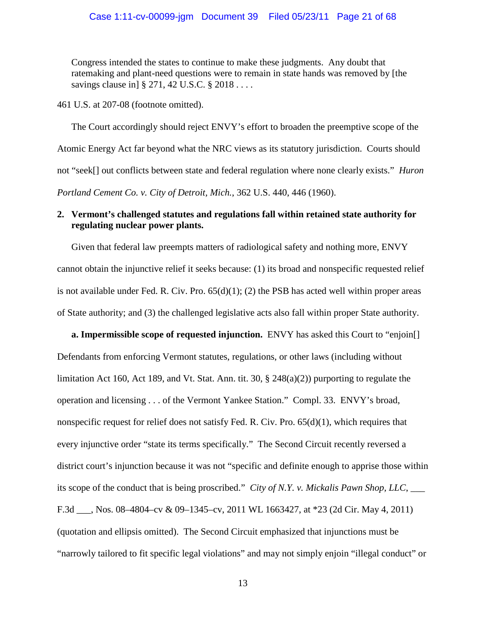Congress intended the states to continue to make these judgments. Any doubt that ratemaking and plant-need questions were to remain in state hands was removed by [the savings clause in § 271, 42 U.S.C. § 2018 . . . .

461 U.S. at 207-08 (footnote omitted).

The Court accordingly should reject ENVY's effort to broaden the preemptive scope of the Atomic Energy Act far beyond what the NRC views as its statutory jurisdiction. Courts should not "seek[] out conflicts between state and federal regulation where none clearly exists." *Huron Portland Cement Co. v. City of Detroit, Mich.*, 362 U.S. 440, 446 (1960).

# **2. Vermont's challenged statutes and regulations fall within retained state authority for regulating nuclear power plants.**

Given that federal law preempts matters of radiological safety and nothing more, ENVY cannot obtain the injunctive relief it seeks because: (1) its broad and nonspecific requested relief is not available under Fed. R. Civ. Pro.  $65(d)(1)$ ; (2) the PSB has acted well within proper areas of State authority; and (3) the challenged legislative acts also fall within proper State authority.

**a. Impermissible scope of requested injunction.** ENVY has asked this Court to "enjoin[] Defendants from enforcing Vermont statutes, regulations, or other laws (including without limitation Act 160, Act 189, and Vt. Stat. Ann. tit. 30, § 248(a)(2)) purporting to regulate the operation and licensing . . . of the Vermont Yankee Station." Compl. 33. ENVY's broad, nonspecific request for relief does not satisfy Fed. R. Civ. Pro.  $65(d)(1)$ , which requires that every injunctive order "state its terms specifically." The Second Circuit recently reversed a district court's injunction because it was not "specific and definite enough to apprise those within its scope of the conduct that is being proscribed." *City of N.Y. v. Mickalis Pawn Shop, LLC*, \_\_\_ F.3d \_\_\_, Nos. 08–4804–cv & 09–1345–cv, 2011 WL 1663427, at \*23 (2d Cir. May 4, 2011) (quotation and ellipsis omitted). The Second Circuit emphasized that injunctions must be "narrowly tailored to fit specific legal violations" and may not simply enjoin "illegal conduct" or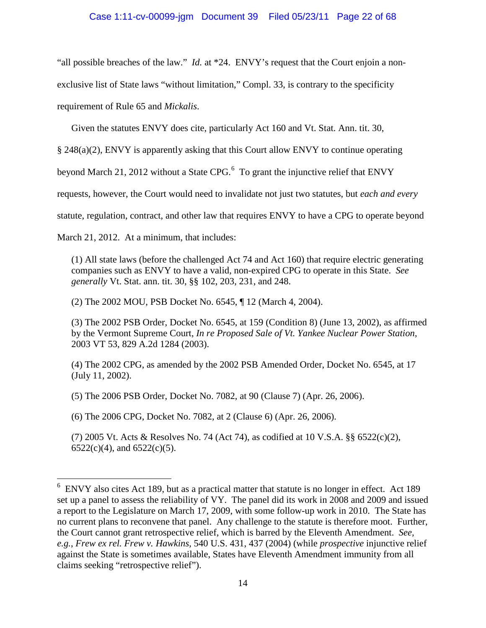# Case 1:11-cv-00099-jgm Document 39 Filed 05/23/11 Page 22 of 68

"all possible breaches of the law." *Id.* at \*24. ENVY's request that the Court enjoin a nonexclusive list of State laws "without limitation," Compl. 33, is contrary to the specificity requirement of Rule 65 and *Mickalis*.

Given the statutes ENVY does cite, particularly Act 160 and Vt. Stat. Ann. tit. 30,

§ 248(a)(2), ENVY is apparently asking that this Court allow ENVY to continue operating

beyond March 21, 2012 without a State CPG. $<sup>6</sup>$  $<sup>6</sup>$  $<sup>6</sup>$  To grant the injunctive relief that ENVY</sup>

requests, however, the Court would need to invalidate not just two statutes, but *each and every*

statute, regulation, contract, and other law that requires ENVY to have a CPG to operate beyond

March 21, 2012. At a minimum, that includes:

(1) All state laws (before the challenged Act 74 and Act 160) that require electric generating companies such as ENVY to have a valid, non-expired CPG to operate in this State. *See generally* Vt. Stat. ann. tit. 30, §§ 102, 203, 231, and 248.

(2) The 2002 MOU, PSB Docket No. 6545, ¶ 12 (March 4, 2004).

(3) The 2002 PSB Order, Docket No. 6545, at 159 (Condition 8) (June 13, 2002), as affirmed by the Vermont Supreme Court, *In re Proposed Sale of Vt. Yankee Nuclear Power Station*, 2003 VT 53, 829 A.2d 1284 (2003).

(4) The 2002 CPG, as amended by the 2002 PSB Amended Order, Docket No. 6545, at 17 (July 11, 2002).

(5) The 2006 PSB Order, Docket No. 7082, at 90 (Clause 7) (Apr. 26, 2006).

(6) The 2006 CPG, Docket No. 7082, at 2 (Clause 6) (Apr. 26, 2006).

(7) 2005 Vt. Acts & Resolves No. 74 (Act 74), as codified at 10 V.S.A. §§ 6522(c)(2),  $6522(c)(4)$ , and  $6522(c)(5)$ .

<span id="page-21-0"></span><sup>&</sup>lt;sup>6</sup> ENVY also cites Act 189, but as a practical matter that statute is no longer in effect. Act 189 set up a panel to assess the reliability of VY. The panel did its work in 2008 and 2009 and issued a report to the Legislature on March 17, 2009, with some follow-up work in 2010. The State has no current plans to reconvene that panel. Any challenge to the statute is therefore moot. Further, the Court cannot grant retrospective relief, which is barred by the Eleventh Amendment. *See, e.g.*, *Frew ex rel. Frew v. Hawkins*, 540 U.S. 431, 437 (2004) (while *prospective* injunctive relief against the State is sometimes available, States have Eleventh Amendment immunity from all claims seeking "retrospective relief").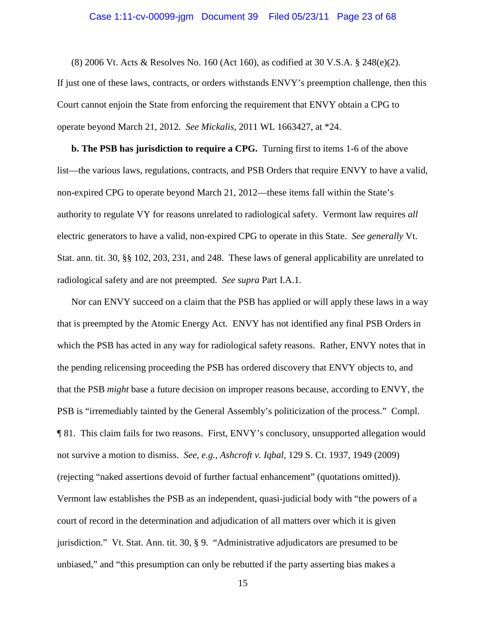# Case 1:11-cv-00099-jgm Document 39 Filed 05/23/11 Page 23 of 68

(8) 2006 Vt. Acts & Resolves No. 160 (Act 160), as codified at 30 V.S.A. § 248(e)(2). If just one of these laws, contracts, or orders withstands ENVY's preemption challenge, then this Court cannot enjoin the State from enforcing the requirement that ENVY obtain a CPG to operate beyond March 21, 2012. *See Mickalis*, 2011 WL 1663427, at \*24.

**b. The PSB has jurisdiction to require a CPG.** Turning first to items 1-6 of the above list—the various laws, regulations, contracts, and PSB Orders that require ENVY to have a valid, non-expired CPG to operate beyond March 21, 2012—these items fall within the State's authority to regulate VY for reasons unrelated to radiological safety. Vermont law requires *all* electric generators to have a valid, non-expired CPG to operate in this State. *See generally* Vt. Stat. ann. tit. 30, §§ 102, 203, 231, and 248. These laws of general applicability are unrelated to radiological safety and are not preempted. *See supra* Part I.A.1.

Nor can ENVY succeed on a claim that the PSB has applied or will apply these laws in a way that is preempted by the Atomic Energy Act. ENVY has not identified any final PSB Orders in which the PSB has acted in any way for radiological safety reasons. Rather, ENVY notes that in the pending relicensing proceeding the PSB has ordered discovery that ENVY objects to, and that the PSB *might* base a future decision on improper reasons because, according to ENVY, the PSB is "irremediably tainted by the General Assembly's politicization of the process." Compl. ¶ 81. This claim fails for two reasons. First, ENVY's conclusory, unsupported allegation would not survive a motion to dismiss. *See, e.g.*, *Ashcroft v. Iqbal*, 129 S. Ct. 1937, 1949 (2009) (rejecting "naked assertions devoid of further factual enhancement" (quotations omitted)). Vermont law establishes the PSB as an independent, quasi-judicial body with "the powers of a court of record in the determination and adjudication of all matters over which it is given jurisdiction." Vt. Stat. Ann. tit. 30, § 9. "Administrative adjudicators are presumed to be unbiased," and "this presumption can only be rebutted if the party asserting bias makes a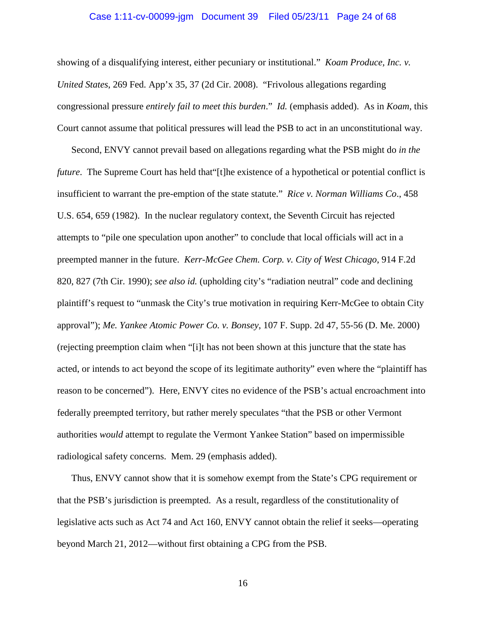#### Case 1:11-cv-00099-jgm Document 39 Filed 05/23/11 Page 24 of 68

showing of a disqualifying interest, either pecuniary or institutional." *Koam Produce, Inc. v. United States*, 269 Fed. App'x 35, 37 (2d Cir. 2008). "Frivolous allegations regarding congressional pressure *entirely fail to meet this burden*." *Id.* (emphasis added). As in *Koam*, this Court cannot assume that political pressures will lead the PSB to act in an unconstitutional way.

Second, ENVY cannot prevail based on allegations regarding what the PSB might do *in the future*. The Supreme Court has held that ''[t]he existence of a hypothetical or potential conflict is insufficient to warrant the pre-emption of the state statute." *Rice v. Norman Williams Co*., 458 U.S. 654, 659 (1982). In the nuclear regulatory context, the Seventh Circuit has rejected attempts to "pile one speculation upon another" to conclude that local officials will act in a preempted manner in the future. *Kerr-McGee Chem. Corp. v. City of West Chicago*, 914 F.2d 820, 827 (7th Cir. 1990); *see also id.* (upholding city's "radiation neutral" code and declining plaintiff's request to "unmask the City's true motivation in requiring Kerr-McGee to obtain City approval"); *Me. Yankee Atomic Power Co. v. Bonsey*, 107 F. Supp. 2d 47, 55-56 (D. Me. 2000) (rejecting preemption claim when "[i]t has not been shown at this juncture that the state has acted, or intends to act beyond the scope of its legitimate authority" even where the "plaintiff has reason to be concerned"). Here, ENVY cites no evidence of the PSB's actual encroachment into federally preempted territory, but rather merely speculates "that the PSB or other Vermont authorities *would* attempt to regulate the Vermont Yankee Station" based on impermissible radiological safety concerns. Mem. 29 (emphasis added).

Thus, ENVY cannot show that it is somehow exempt from the State's CPG requirement or that the PSB's jurisdiction is preempted. As a result, regardless of the constitutionality of legislative acts such as Act 74 and Act 160, ENVY cannot obtain the relief it seeks—operating beyond March 21, 2012—without first obtaining a CPG from the PSB.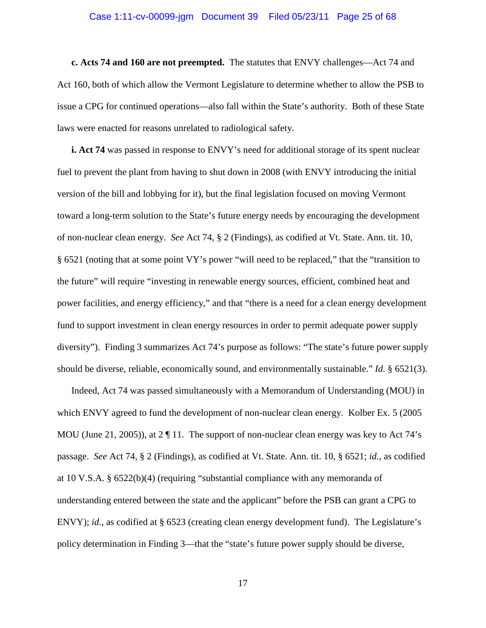#### Case 1:11-cv-00099-jgm Document 39 Filed 05/23/11 Page 25 of 68

**c. Acts 74 and 160 are not preempted.** The statutes that ENVY challenges—Act 74 and Act 160, both of which allow the Vermont Legislature to determine whether to allow the PSB to issue a CPG for continued operations—also fall within the State's authority. Both of these State laws were enacted for reasons unrelated to radiological safety.

**i. Act 74** was passed in response to ENVY's need for additional storage of its spent nuclear fuel to prevent the plant from having to shut down in 2008 (with ENVY introducing the initial version of the bill and lobbying for it), but the final legislation focused on moving Vermont toward a long-term solution to the State's future energy needs by encouraging the development of non-nuclear clean energy. *See* Act 74, § 2 (Findings), as codified at Vt. State. Ann. tit. 10, § 6521 (noting that at some point VY's power "will need to be replaced," that the "transition to the future" will require "investing in renewable energy sources, efficient, combined heat and power facilities, and energy efficiency," and that "there is a need for a clean energy development fund to support investment in clean energy resources in order to permit adequate power supply diversity"). Finding 3 summarizes Act 74's purpose as follows: "The state's future power supply should be diverse, reliable, economically sound, and environmentally sustainable." *Id.* § 6521(3).

Indeed, Act 74 was passed simultaneously with a Memorandum of Understanding (MOU) in which ENVY agreed to fund the development of non-nuclear clean energy. Kolber Ex. 5 (2005 MOU (June 21, 2005)), at 2  $\P$  11. The support of non-nuclear clean energy was key to Act 74's passage. *See* Act 74, § 2 (Findings), as codified at Vt. State. Ann. tit. 10, § 6521; *id.*, as codified at 10 V.S.A. § 6522(b)(4) (requiring "substantial compliance with any memoranda of understanding entered between the state and the applicant" before the PSB can grant a CPG to ENVY); *id.*, as codified at § 6523 (creating clean energy development fund). The Legislature's policy determination in Finding 3—that the "state's future power supply should be diverse,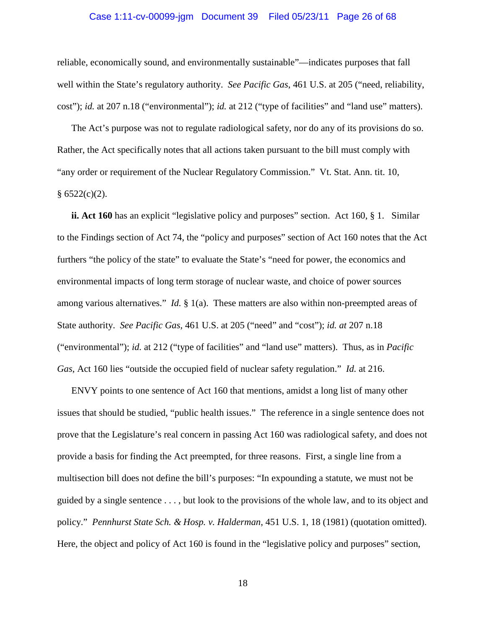#### Case 1:11-cv-00099-jgm Document 39 Filed 05/23/11 Page 26 of 68

reliable, economically sound, and environmentally sustainable"—indicates purposes that fall well within the State's regulatory authority. *See Pacific Gas*, 461 U.S. at 205 ("need, reliability, cost"); *id.* at 207 n.18 ("environmental"); *id.* at 212 ("type of facilities" and "land use" matters).

The Act's purpose was not to regulate radiological safety, nor do any of its provisions do so. Rather, the Act specifically notes that all actions taken pursuant to the bill must comply with "any order or requirement of the Nuclear Regulatory Commission." Vt. Stat. Ann. tit. 10,  $§ 6522(c)(2).$ 

**ii. Act 160** has an explicit "legislative policy and purposes" section. Act 160, § 1. Similar to the Findings section of Act 74, the "policy and purposes" section of Act 160 notes that the Act furthers "the policy of the state" to evaluate the State's "need for power, the economics and environmental impacts of long term storage of nuclear waste, and choice of power sources among various alternatives." *Id.* § 1(a). These matters are also within non-preempted areas of State authority. *See Pacific Gas*, 461 U.S. at 205 ("need" and "cost"); *id. at* 207 n.18 ("environmental"); *id.* at 212 ("type of facilities" and "land use" matters). Thus, as in *Pacific Gas*, Act 160 lies "outside the occupied field of nuclear safety regulation." *Id.* at 216.

ENVY points to one sentence of Act 160 that mentions, amidst a long list of many other issues that should be studied, "public health issues." The reference in a single sentence does not prove that the Legislature's real concern in passing Act 160 was radiological safety, and does not provide a basis for finding the Act preempted, for three reasons. First, a single line from a multisection bill does not define the bill's purposes: "In expounding a statute, we must not be guided by a single sentence . . . , but look to the provisions of the whole law, and to its object and policy." *Pennhurst State Sch. & Hosp. v. Halderman*, 451 U.S. 1, 18 (1981) (quotation omitted). Here, the object and policy of Act 160 is found in the "legislative policy and purposes" section,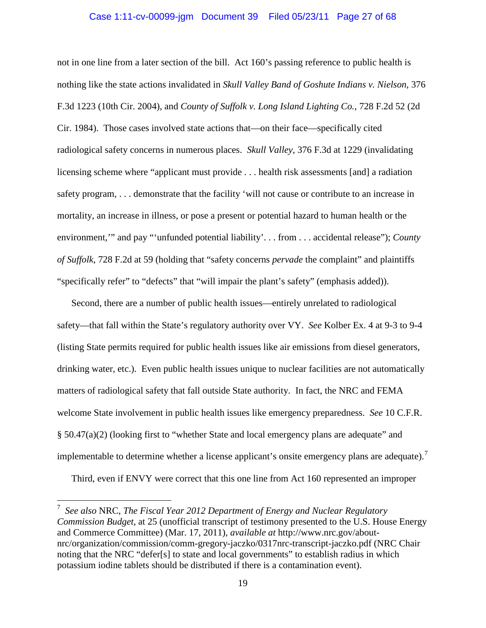#### Case 1:11-cv-00099-jgm Document 39 Filed 05/23/11 Page 27 of 68

not in one line from a later section of the bill. Act 160's passing reference to public health is nothing like the state actions invalidated in *Skull Valley Band of Goshute Indians v. Nielson*, 376 F.3d 1223 (10th Cir. 2004), and *County of Suffolk v. Long Island Lighting Co.*, 728 F.2d 52 (2d Cir. 1984). Those cases involved state actions that—on their face—specifically cited radiological safety concerns in numerous places. *Skull Valley*, 376 F.3d at 1229 (invalidating licensing scheme where "applicant must provide . . . health risk assessments [and] a radiation safety program, . . . demonstrate that the facility 'will not cause or contribute to an increase in mortality, an increase in illness, or pose a present or potential hazard to human health or the environment,'" and pay "'unfunded potential liability'. . . from . . . accidental release"); *County of Suffolk*, 728 F.2d at 59 (holding that "safety concerns *pervade* the complaint" and plaintiffs "specifically refer" to "defects" that "will impair the plant's safety" (emphasis added)).

Second, there are a number of public health issues—entirely unrelated to radiological safety—that fall within the State's regulatory authority over VY. *See* Kolber Ex. 4 at 9-3 to 9-4 (listing State permits required for public health issues like air emissions from diesel generators, drinking water, etc.). Even public health issues unique to nuclear facilities are not automatically matters of radiological safety that fall outside State authority. In fact, the NRC and FEMA welcome State involvement in public health issues like emergency preparedness. *See* 10 C.F.R. § 50.47(a)(2) (looking first to "whether State and local emergency plans are adequate" and implementable to determine whether a license applicant's onsite emergency plans are adequate).<sup>[7](#page-26-0)</sup>

Third, even if ENVY were correct that this one line from Act 160 represented an improper

<span id="page-26-0"></span> <sup>7</sup> *See also* NRC, *The Fiscal Year 2012 Department of Energy and Nuclear Regulatory Commission Budget*, at 25 (unofficial transcript of testimony presented to the U.S. House Energy and Commerce Committee) (Mar. 17, 2011), *available at* http://www.nrc.gov/aboutnrc/organization/commission/comm-gregory-jaczko/0317nrc-transcript-jaczko.pdf (NRC Chair noting that the NRC "defer[s] to state and local governments" to establish radius in which potassium iodine tablets should be distributed if there is a contamination event).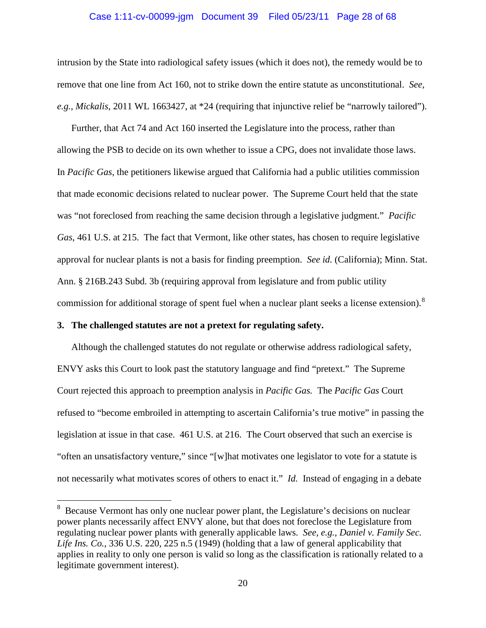#### Case 1:11-cv-00099-jgm Document 39 Filed 05/23/11 Page 28 of 68

intrusion by the State into radiological safety issues (which it does not), the remedy would be to remove that one line from Act 160, not to strike down the entire statute as unconstitutional. *See, e.g.*, *Mickalis*, 2011 WL 1663427, at \*24 (requiring that injunctive relief be "narrowly tailored").

Further, that Act 74 and Act 160 inserted the Legislature into the process, rather than allowing the PSB to decide on its own whether to issue a CPG, does not invalidate those laws. In *Pacific Gas*, the petitioners likewise argued that California had a public utilities commission that made economic decisions related to nuclear power. The Supreme Court held that the state was "not foreclosed from reaching the same decision through a legislative judgment." *Pacific Gas*, 461 U.S. at 215. The fact that Vermont, like other states, has chosen to require legislative approval for nuclear plants is not a basis for finding preemption. *See id.* (California); Minn. Stat. Ann. § 216B.243 Subd. 3b (requiring approval from legislature and from public utility commission for additional storage of spent fuel when a nuclear plant seeks a license extension).<sup>[8](#page-27-0)</sup>

#### **3. The challenged statutes are not a pretext for regulating safety.**

Although the challenged statutes do not regulate or otherwise address radiological safety, ENVY asks this Court to look past the statutory language and find "pretext." The Supreme Court rejected this approach to preemption analysis in *Pacific Gas.* The *Pacific Gas* Court refused to "become embroiled in attempting to ascertain California's true motive" in passing the legislation at issue in that case. 461 U.S. at 216. The Court observed that such an exercise is "often an unsatisfactory venture," since "[w]hat motivates one legislator to vote for a statute is not necessarily what motivates scores of others to enact it." *Id.* Instead of engaging in a debate

<span id="page-27-0"></span><sup>&</sup>lt;sup>8</sup> Because Vermont has only one nuclear power plant, the Legislature's decisions on nuclear power plants necessarily affect ENVY alone, but that does not foreclose the Legislature from regulating nuclear power plants with generally applicable laws. *See, e.g.*, *Daniel v. Family Sec. Life Ins. Co.*, 336 U.S. 220, 225 n.5 (1949) (holding that a law of general applicability that applies in reality to only one person is valid so long as the classification is rationally related to a legitimate government interest).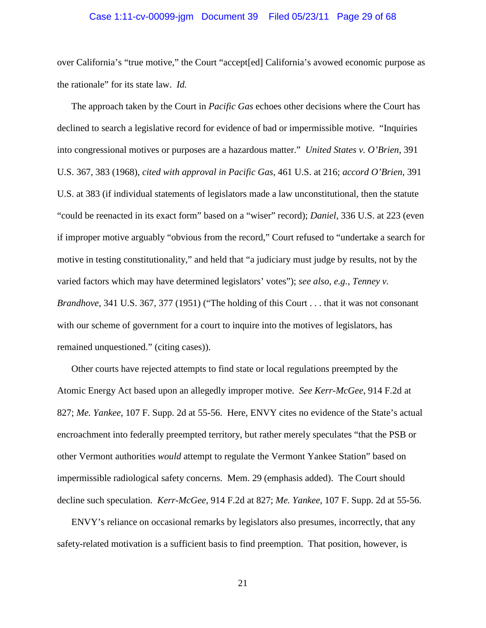#### Case 1:11-cv-00099-jgm Document 39 Filed 05/23/11 Page 29 of 68

over California's "true motive," the Court "accept[ed] California's avowed economic purpose as the rationale" for its state law. *Id.*

The approach taken by the Court in *Pacific Gas* echoes other decisions where the Court has declined to search a legislative record for evidence of bad or impermissible motive. "Inquiries into congressional motives or purposes are a hazardous matter." *United States v. O'Brien*, 391 U.S. 367, 383 (1968), *cited with approval in Pacific Gas*, 461 U.S. at 216; *accord O'Brien*, 391 U.S. at 383 (if individual statements of legislators made a law unconstitutional, then the statute "could be reenacted in its exact form" based on a "wiser" record); *Daniel*, 336 U.S. at 223 (even if improper motive arguably "obvious from the record," Court refused to "undertake a search for motive in testing constitutionality," and held that "a judiciary must judge by results, not by the varied factors which may have determined legislators' votes"); *see also, e.g.*, *Tenney v. Brandhove*, 341 U.S. 367, 377 (1951) ("The holding of this Court . . . that it was not consonant with our scheme of government for a court to inquire into the motives of legislators, has remained unquestioned." (citing cases)).

Other courts have rejected attempts to find state or local regulations preempted by the Atomic Energy Act based upon an allegedly improper motive. *See Kerr-McGee*, 914 F.2d at 827; *Me. Yankee*, 107 F. Supp. 2d at 55-56. Here, ENVY cites no evidence of the State's actual encroachment into federally preempted territory, but rather merely speculates "that the PSB or other Vermont authorities *would* attempt to regulate the Vermont Yankee Station" based on impermissible radiological safety concerns. Mem. 29 (emphasis added). The Court should decline such speculation. *Kerr-McGee*, 914 F.2d at 827; *Me. Yankee*, 107 F. Supp. 2d at 55-56.

ENVY's reliance on occasional remarks by legislators also presumes, incorrectly, that any safety-related motivation is a sufficient basis to find preemption. That position, however, is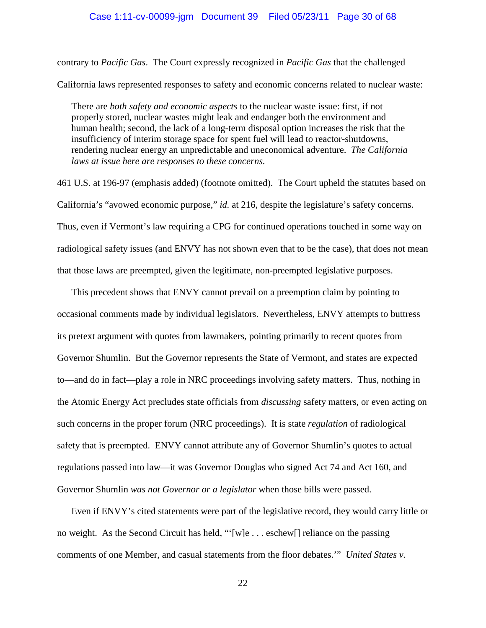contrary to *Pacific Gas*. The Court expressly recognized in *Pacific Gas* that the challenged

California laws represented responses to safety and economic concerns related to nuclear waste:

There are *both safety and economic aspects* to the nuclear waste issue: first, if not properly stored, nuclear wastes might leak and endanger both the environment and human health; second, the lack of a long-term disposal option increases the risk that the insufficiency of interim storage space for spent fuel will lead to reactor-shutdowns, rendering nuclear energy an unpredictable and uneconomical adventure. *The California laws at issue here are responses to these concerns.*

461 U.S. at 196-97 (emphasis added) (footnote omitted). The Court upheld the statutes based on California's "avowed economic purpose," *id.* at 216, despite the legislature's safety concerns. Thus, even if Vermont's law requiring a CPG for continued operations touched in some way on radiological safety issues (and ENVY has not shown even that to be the case), that does not mean that those laws are preempted, given the legitimate, non-preempted legislative purposes.

This precedent shows that ENVY cannot prevail on a preemption claim by pointing to occasional comments made by individual legislators. Nevertheless, ENVY attempts to buttress its pretext argument with quotes from lawmakers, pointing primarily to recent quotes from Governor Shumlin. But the Governor represents the State of Vermont, and states are expected to—and do in fact—play a role in NRC proceedings involving safety matters. Thus, nothing in the Atomic Energy Act precludes state officials from *discussing* safety matters, or even acting on such concerns in the proper forum (NRC proceedings). It is state *regulation* of radiological safety that is preempted. ENVY cannot attribute any of Governor Shumlin's quotes to actual regulations passed into law—it was Governor Douglas who signed Act 74 and Act 160, and Governor Shumlin *was not Governor or a legislator* when those bills were passed.

Even if ENVY's cited statements were part of the legislative record, they would carry little or no weight. As the Second Circuit has held, "'[w]e . . . eschew[] reliance on the passing comments of one Member, and casual statements from the floor debates.'" *United States v.*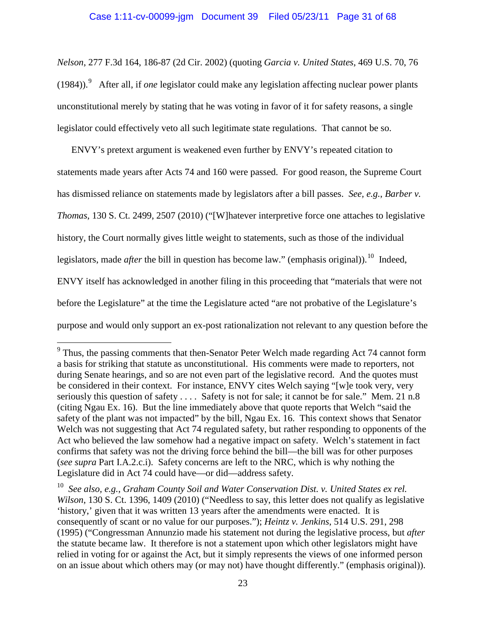*Nelson*, 277 F.3d 164, 186-87 (2d Cir. 2002) (quoting *Garcia v. United States*, 469 U.S. 70, 76 (1984)).[9](#page-30-0) After all, if *one* legislator could make any legislation affecting nuclear power plants unconstitutional merely by stating that he was voting in favor of it for safety reasons, a single legislator could effectively veto all such legitimate state regulations. That cannot be so.

ENVY's pretext argument is weakened even further by ENVY's repeated citation to statements made years after Acts 74 and 160 were passed. For good reason, the Supreme Court has dismissed reliance on statements made by legislators after a bill passes. *See, e.g.*, *Barber v. Thomas*, 130 S. Ct. 2499, 2507 (2010) ("[W]hatever interpretive force one attaches to legislative history, the Court normally gives little weight to statements, such as those of the individual legislators, made *after* the bill in question has become law." (emphasis original)).<sup>[10](#page-30-1)</sup> Indeed, ENVY itself has acknowledged in another filing in this proceeding that "materials that were not before the Legislature" at the time the Legislature acted "are not probative of the Legislature's purpose and would only support an ex-post rationalization not relevant to any question before the

<span id="page-30-0"></span> $9$  Thus, the passing comments that then-Senator Peter Welch made regarding Act 74 cannot form a basis for striking that statute as unconstitutional. His comments were made to reporters, not during Senate hearings, and so are not even part of the legislative record. And the quotes must be considered in their context. For instance, ENVY cites Welch saying "[w]e took very, very seriously this question of safety . . . . Safety is not for sale; it cannot be for sale." Mem. 21 n.8 (citing Ngau Ex. 16). But the line immediately above that quote reports that Welch "said the safety of the plant was not impacted" by the bill, Ngau Ex. 16. This context shows that Senator Welch was not suggesting that Act 74 regulated safety, but rather responding to opponents of the Act who believed the law somehow had a negative impact on safety. Welch's statement in fact confirms that safety was not the driving force behind the bill—the bill was for other purposes (*see supra* Part I.A.2.c.i). Safety concerns are left to the NRC, which is why nothing the Legislature did in Act 74 could have—or did—address safety.

<span id="page-30-1"></span><sup>10</sup> *See also, e.g.*, *Graham County Soil and Water Conservation Dist. v. United States ex rel. Wilson*, 130 S. Ct. 1396, 1409 (2010) ("Needless to say, this letter does not qualify as legislative 'history,' given that it was written 13 years after the amendments were enacted. It is consequently of scant or no value for our purposes."); *Heintz v. Jenkins*, 514 U.S. 291, 298 (1995) ("Congressman Annunzio made his statement not during the legislative process, but *after*  the statute became law. It therefore is not a statement upon which other legislators might have relied in voting for or against the Act, but it simply represents the views of one informed person on an issue about which others may (or may not) have thought differently." (emphasis original)).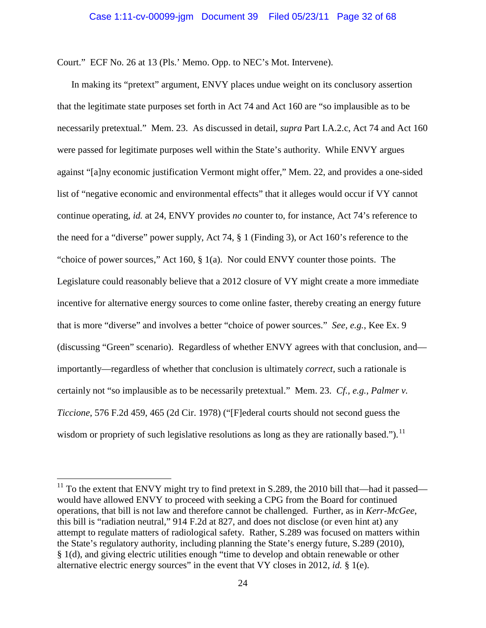Court." ECF No. 26 at 13 (Pls.' Memo. Opp. to NEC's Mot. Intervene).

In making its "pretext" argument, ENVY places undue weight on its conclusory assertion that the legitimate state purposes set forth in Act 74 and Act 160 are "so implausible as to be necessarily pretextual." Mem. 23. As discussed in detail, *supra* Part I.A.2.c, Act 74 and Act 160 were passed for legitimate purposes well within the State's authority. While ENVY argues against "[a]ny economic justification Vermont might offer," Mem. 22, and provides a one-sided list of "negative economic and environmental effects" that it alleges would occur if VY cannot continue operating, *id.* at 24, ENVY provides *no* counter to, for instance, Act 74's reference to the need for a "diverse" power supply, Act 74, § 1 (Finding 3), or Act 160's reference to the "choice of power sources," Act 160, § 1(a). Nor could ENVY counter those points. The Legislature could reasonably believe that a 2012 closure of VY might create a more immediate incentive for alternative energy sources to come online faster, thereby creating an energy future that is more "diverse" and involves a better "choice of power sources." *See, e.g.*, Kee Ex. 9 (discussing "Green" scenario). Regardless of whether ENVY agrees with that conclusion, and importantly—regardless of whether that conclusion is ultimately *correct*, such a rationale is certainly not "so implausible as to be necessarily pretextual." Mem. 23. *Cf., e.g.*, *Palmer v. Ticcione*, 576 F.2d 459, 465 (2d Cir. 1978) ("[F]ederal courts should not second guess the wisdom or propriety of such legislative resolutions as long as they are rationally based.").  $\frac{11}{11}$  $\frac{11}{11}$  $\frac{11}{11}$ 

<span id="page-31-0"></span><sup>&</sup>lt;sup>11</sup> To the extent that ENVY might try to find pretext in S.289, the 2010 bill that—had it passed would have allowed ENVY to proceed with seeking a CPG from the Board for continued operations, that bill is not law and therefore cannot be challenged. Further, as in *Kerr-McGee*, this bill is "radiation neutral," 914 F.2d at 827, and does not disclose (or even hint at) any attempt to regulate matters of radiological safety. Rather, S.289 was focused on matters within the State's regulatory authority, including planning the State's energy future, S.289 (2010), § 1(d), and giving electric utilities enough "time to develop and obtain renewable or other alternative electric energy sources" in the event that VY closes in 2012, *id.* § 1(e).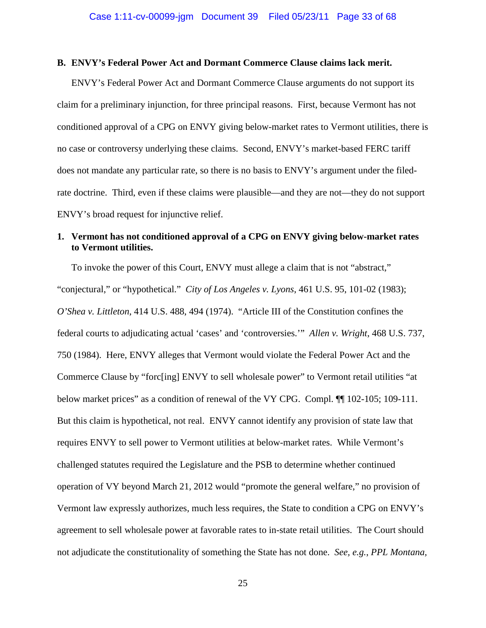# **B. ENVY's Federal Power Act and Dormant Commerce Clause claims lack merit.**

ENVY's Federal Power Act and Dormant Commerce Clause arguments do not support its claim for a preliminary injunction, for three principal reasons. First, because Vermont has not conditioned approval of a CPG on ENVY giving below-market rates to Vermont utilities, there is no case or controversy underlying these claims. Second, ENVY's market-based FERC tariff does not mandate any particular rate, so there is no basis to ENVY's argument under the filedrate doctrine. Third, even if these claims were plausible—and they are not—they do not support ENVY's broad request for injunctive relief.

# **1. Vermont has not conditioned approval of a CPG on ENVY giving below-market rates to Vermont utilities.**

To invoke the power of this Court, ENVY must allege a claim that is not "abstract," "conjectural," or "hypothetical." *City of Los Angeles v. Lyons*, [461 U.S. 95, 101-02 \(1983\);](http://scholar.google.com/scholar_case?case=4587981977816900853&q=speculate+OR+speculation+OR+speculative+%22case+or+controversy%22&hl=en&as_sdt=4,60) *O'Shea v. Littleton*, [414 U.S. 488, 494 \(1974\).](http://scholar.google.com/scholar_case?case=9897606352529696969&q=speculate+OR+speculation+OR+speculative+%22case+or+controversy%22&hl=en&as_sdt=4,60) "Article III of the Constitution confines the federal courts to adjudicating actual 'cases' and 'controversies.'" *Allen v. Wright*, 468 U.S. 737, 750 (1984). Here, ENVY alleges that Vermont would violate the Federal Power Act and the Commerce Clause by "forc[ing] ENVY to sell wholesale power" to Vermont retail utilities "at below market prices" as a condition of renewal of the VY CPG. Compl.  $\P$  102-105; 109-111. But this claim is hypothetical, not real. ENVY cannot identify any provision of state law that requires ENVY to sell power to Vermont utilities at below-market rates. While Vermont's challenged statutes required the Legislature and the PSB to determine whether continued operation of VY beyond March 21, 2012 would "promote the general welfare," no provision of Vermont law expressly authorizes, much less requires, the State to condition a CPG on ENVY's agreement to sell wholesale power at favorable rates to in-state retail utilities. The Court should not adjudicate the constitutionality of something the State has not done. *See, e.g.*, *PPL Montana,*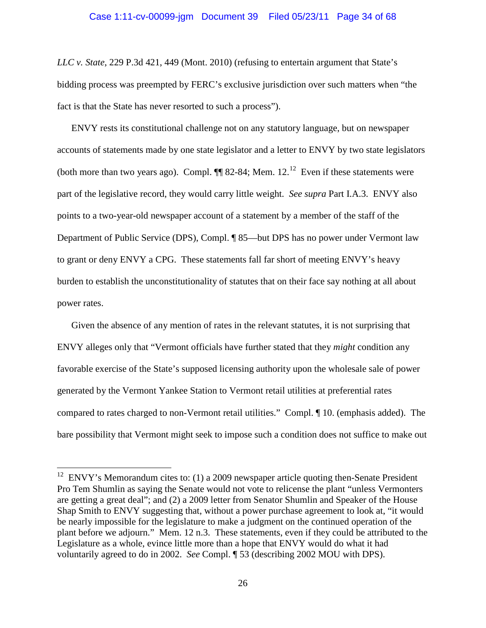*LLC v. State*, 229 P.3d 421, 449 (Mont. 2010) (refusing to entertain argument that State's bidding process was preempted by FERC's exclusive jurisdiction over such matters when "the fact is that the State has never resorted to such a process").

ENVY rests its constitutional challenge not on any statutory language, but on newspaper accounts of statements made by one state legislator and a letter to ENVY by two state legislators (both more than two years ago). Compl.  $\P\P$  82-84; Mem. [12](#page-33-0).<sup>12</sup> Even if these statements were part of the legislative record, they would carry little weight. *See supra* Part I.A.3. ENVY also points to a two-year-old newspaper account of a statement by a member of the staff of the Department of Public Service (DPS), Compl. ¶ 85—but DPS has no power under Vermont law to grant or deny ENVY a CPG. These statements fall far short of meeting ENVY's heavy burden to establish the unconstitutionality of statutes that on their face say nothing at all about power rates.

Given the absence of any mention of rates in the relevant statutes, it is not surprising that ENVY alleges only that "Vermont officials have further stated that they *might* condition any favorable exercise of the State's supposed licensing authority upon the wholesale sale of power generated by the Vermont Yankee Station to Vermont retail utilities at preferential rates compared to rates charged to non-Vermont retail utilities." Compl. ¶ 10. (emphasis added). The bare possibility that Vermont might seek to impose such a condition does not suffice to make out

<span id="page-33-0"></span> $12$  ENVY's Memorandum cites to: (1) a 2009 newspaper article quoting then-Senate President Pro Tem Shumlin as saying the Senate would not vote to relicense the plant "unless Vermonters are getting a great deal"; and (2) a 2009 letter from Senator Shumlin and Speaker of the House Shap Smith to ENVY suggesting that, without a power purchase agreement to look at, "it would be nearly impossible for the legislature to make a judgment on the continued operation of the plant before we adjourn." Mem. 12 n.3. These statements, even if they could be attributed to the Legislature as a whole, evince little more than a hope that ENVY would do what it had voluntarily agreed to do in 2002. *See* Compl. ¶ 53 (describing 2002 MOU with DPS).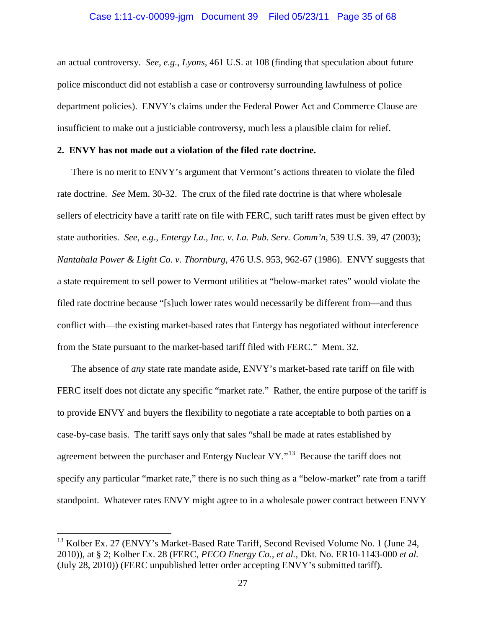an actual controversy. *See, e.g.*, *Lyons*, 461 U.S. at 108 (finding that speculation about future police misconduct did not establish a case or controversy surrounding lawfulness of police department policies). ENVY's claims under the Federal Power Act and Commerce Clause are insufficient to make out a justiciable controversy, much less a plausible claim for relief.

#### **2. ENVY has not made out a violation of the filed rate doctrine.**

There is no merit to ENVY's argument that Vermont's actions threaten to violate the filed rate doctrine. *See* Mem. 30-32. The crux of the filed rate doctrine is that where wholesale sellers of electricity have a tariff rate on file with FERC, such tariff rates must be given effect by state authorities. *See, e.g.*, *Entergy La., Inc. v. La. Pub. Serv. Comm'n*, 539 U.S. 39, 47 (2003); *Nantahala Power & Light Co. v. Thornburg*, 476 U.S. 953, 962-67 (1986). ENVY suggests that a state requirement to sell power to Vermont utilities at "below-market rates" would violate the filed rate doctrine because "[s]uch lower rates would necessarily be different from—and thus conflict with—the existing market-based rates that Entergy has negotiated without interference from the State pursuant to the market-based tariff filed with FERC." Mem. 32.

The absence of *any* state rate mandate aside, ENVY's market-based rate tariff on file with FERC itself does not dictate any specific "market rate." Rather, the entire purpose of the tariff is to provide ENVY and buyers the flexibility to negotiate a rate acceptable to both parties on a case-by-case basis. The tariff says only that sales "shall be made at rates established by agreement between the purchaser and Entergy Nuclear VY."<sup>[13](#page-34-0)</sup> Because the tariff does not specify any particular "market rate," there is no such thing as a "below-market" rate from a tariff standpoint. Whatever rates ENVY might agree to in a wholesale power contract between ENVY

<span id="page-34-0"></span><sup>&</sup>lt;sup>13</sup> Kolber Ex. 27 (ENVY's Market-Based Rate Tariff, Second Revised Volume No. 1 (June 24, 2010)), at § 2; Kolber Ex. 28 (FERC, *PECO Energy Co., et al.*, Dkt. No. ER10-1143-000 *et al.* (July 28, 2010)) (FERC unpublished letter order accepting ENVY's submitted tariff).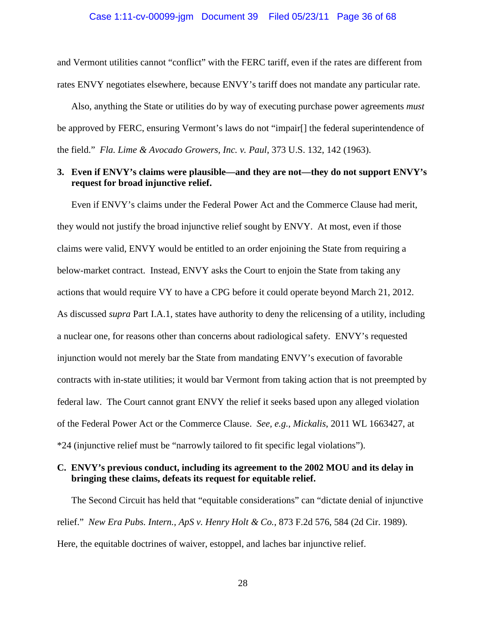and Vermont utilities cannot "conflict" with the FERC tariff, even if the rates are different from rates ENVY negotiates elsewhere, because ENVY's tariff does not mandate any particular rate.

Also, anything the State or utilities do by way of executing purchase power agreements *must* be approved by FERC, ensuring Vermont's laws do not "impair[] the federal superintendence of the field." *Fla. Lime & Avocado Growers, Inc. v. Paul*, 373 U.S. 132, 142 (1963).

# **3. Even if ENVY's claims were plausible—and they are not—they do not support ENVY's request for broad injunctive relief.**

Even if ENVY's claims under the Federal Power Act and the Commerce Clause had merit, they would not justify the broad injunctive relief sought by ENVY. At most, even if those claims were valid, ENVY would be entitled to an order enjoining the State from requiring a below-market contract. Instead, ENVY asks the Court to enjoin the State from taking any actions that would require VY to have a CPG before it could operate beyond March 21, 2012. As discussed *supra* Part I.A.1, states have authority to deny the relicensing of a utility, including a nuclear one, for reasons other than concerns about radiological safety. ENVY's requested injunction would not merely bar the State from mandating ENVY's execution of favorable contracts with in-state utilities; it would bar Vermont from taking action that is not preempted by federal law. The Court cannot grant ENVY the relief it seeks based upon any alleged violation of the Federal Power Act or the Commerce Clause. *See, e.g.*, *Mickalis*, 2011 WL 1663427, at \*24 (injunctive relief must be "narrowly tailored to fit specific legal violations").

# **C. ENVY's previous conduct, including its agreement to the 2002 MOU and its delay in bringing these claims, defeats its request for equitable relief.**

The Second Circuit has held that "equitable considerations" can "dictate denial of injunctive relief." *New Era Pubs. Intern., ApS v. Henry Holt & Co.*, 873 F.2d 576, 584 (2d Cir. 1989). Here, the equitable doctrines of waiver, estoppel, and laches bar injunctive relief.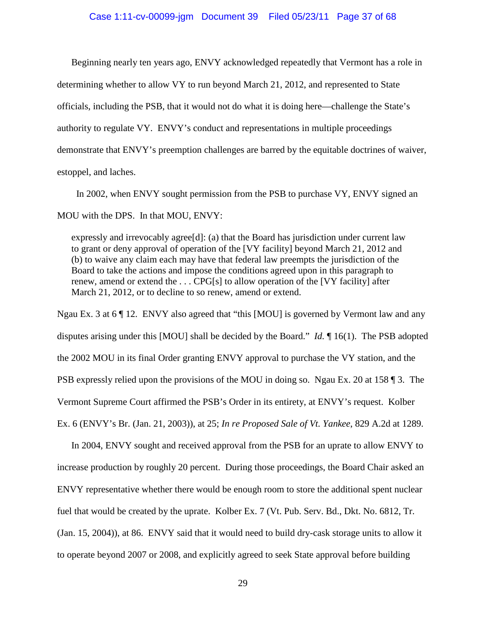Beginning nearly ten years ago, ENVY acknowledged repeatedly that Vermont has a role in determining whether to allow VY to run beyond March 21, 2012, and represented to State officials, including the PSB, that it would not do what it is doing here—challenge the State's authority to regulate VY. ENVY's conduct and representations in multiple proceedings demonstrate that ENVY's preemption challenges are barred by the equitable doctrines of waiver, estoppel, and laches.

 In 2002, when ENVY sought permission from the PSB to purchase VY, ENVY signed an MOU with the DPS. In that MOU, ENVY:

expressly and irrevocably agree[d]: (a) that the Board has jurisdiction under current law to grant or deny approval of operation of the [VY facility] beyond March 21, 2012 and (b) to waive any claim each may have that federal law preempts the jurisdiction of the Board to take the actions and impose the conditions agreed upon in this paragraph to renew, amend or extend the . . . CPG[s] to allow operation of the [VY facility] after March 21, 2012, or to decline to so renew, amend or extend.

Ngau Ex. 3 at 6  $\P$  12. ENVY also agreed that "this [MOU] is governed by Vermont law and any disputes arising under this [MOU] shall be decided by the Board." *Id.* ¶ 16(1). The PSB adopted the 2002 MOU in its final Order granting ENVY approval to purchase the VY station, and the PSB expressly relied upon the provisions of the MOU in doing so. Ngau Ex. 20 at 158 ¶ 3. The Vermont Supreme Court affirmed the PSB's Order in its entirety, at ENVY's request. Kolber Ex. 6 (ENVY's Br. (Jan. 21, 2003)), at 25; *In re Proposed Sale of Vt. Yankee*, 829 A.2d at 1289.

In 2004, ENVY sought and received approval from the PSB for an uprate to allow ENVY to increase production by roughly 20 percent. During those proceedings, the Board Chair asked an ENVY representative whether there would be enough room to store the additional spent nuclear fuel that would be created by the uprate. Kolber Ex. 7 (Vt. Pub. Serv. Bd., Dkt. No. 6812, Tr. (Jan. 15, 2004)), at 86. ENVY said that it would need to build dry-cask storage units to allow it to operate beyond 2007 or 2008, and explicitly agreed to seek State approval before building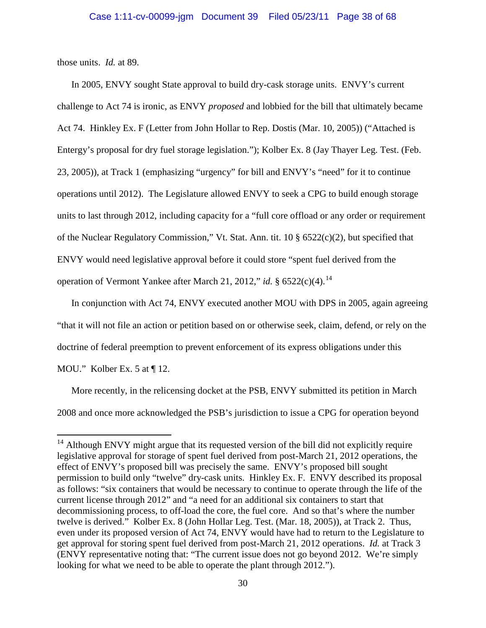those units. *Id.* at 89.

In 2005, ENVY sought State approval to build dry-cask storage units. ENVY's current challenge to Act 74 is ironic, as ENVY *proposed* and lobbied for the bill that ultimately became Act 74. Hinkley Ex. F (Letter from John Hollar to Rep. Dostis (Mar. 10, 2005)) ("Attached is Entergy's proposal for dry fuel storage legislation."); Kolber Ex. 8 (Jay Thayer Leg. Test. (Feb. 23, 2005)), at Track 1 (emphasizing "urgency" for bill and ENVY's "need" for it to continue operations until 2012). The Legislature allowed ENVY to seek a CPG to build enough storage units to last through 2012, including capacity for a "full core offload or any order or requirement of the Nuclear Regulatory Commission," Vt. Stat. Ann. tit. 10 § 6522(c)(2), but specified that ENVY would need legislative approval before it could store "spent fuel derived from the operation of Vermont Yankee after March 21, 2012," *id.* § 6522(c)(4).<sup>[14](#page-37-0)</sup>

In conjunction with Act 74, ENVY executed another MOU with DPS in 2005, again agreeing "that it will not file an action or petition based on or otherwise seek, claim, defend, or rely on the doctrine of federal preemption to prevent enforcement of its express obligations under this MOU." Kolber Ex. 5 at ¶ 12.

More recently, in the relicensing docket at the PSB, ENVY submitted its petition in March 2008 and once more acknowledged the PSB's jurisdiction to issue a CPG for operation beyond

<span id="page-37-0"></span><sup>&</sup>lt;sup>14</sup> Although ENVY might argue that its requested version of the bill did not explicitly require legislative approval for storage of spent fuel derived from post-March 21, 2012 operations, the effect of ENVY's proposed bill was precisely the same. ENVY's proposed bill sought permission to build only "twelve" dry-cask units. Hinkley Ex. F. ENVY described its proposal as follows: "six containers that would be necessary to continue to operate through the life of the current license through 2012" and "a need for an additional six containers to start that decommissioning process, to off-load the core, the fuel core. And so that's where the number twelve is derived." Kolber Ex. 8 (John Hollar Leg. Test. (Mar. 18, 2005)), at Track 2. Thus, even under its proposed version of Act 74, ENVY would have had to return to the Legislature to get approval for storing spent fuel derived from post-March 21, 2012 operations. *Id.* at Track 3 (ENVY representative noting that: "The current issue does not go beyond 2012. We're simply looking for what we need to be able to operate the plant through 2012.").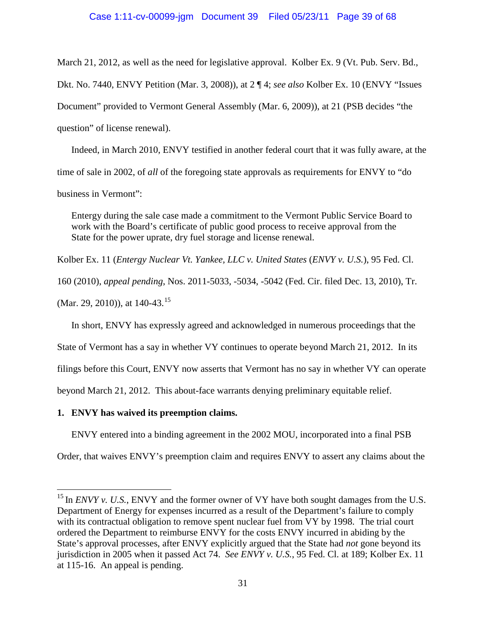#### Case 1:11-cv-00099-jgm Document 39 Filed 05/23/11 Page 39 of 68

March 21, 2012, as well as the need for legislative approval. Kolber Ex. 9 (Vt. Pub. Serv. Bd.,

Dkt. No. 7440, ENVY Petition (Mar. 3, 2008)), at 2 ¶ 4; *see also* Kolber Ex. 10 (ENVY "Issues

Document" provided to Vermont General Assembly (Mar. 6, 2009)), at 21 (PSB decides "the

question" of license renewal).

Indeed, in March 2010, ENVY testified in another federal court that it was fully aware, at the time of sale in 2002, of *all* of the foregoing state approvals as requirements for ENVY to "do business in Vermont":

Entergy during the sale case made a commitment to the Vermont Public Service Board to work with the Board's certificate of public good process to receive approval from the State for the power uprate, dry fuel storage and license renewal.

Kolber Ex. 11 (*Entergy Nuclear Vt. Yankee, LLC v. United States* (*ENVY v. U.S.*), 95 Fed. Cl.

160 (2010), *appeal pending*, Nos. 2011-5033, -5034, -5042 (Fed. Cir. filed Dec. 13, 2010), Tr.

(Mar. 29, 2010)), at  $140-43$ .<sup>[15](#page-38-0)</sup>

In short, ENVY has expressly agreed and acknowledged in numerous proceedings that the

State of Vermont has a say in whether VY continues to operate beyond March 21, 2012. In its

filings before this Court, ENVY now asserts that Vermont has no say in whether VY can operate

beyond March 21, 2012. This about-face warrants denying preliminary equitable relief.

#### **1. ENVY has waived its preemption claims.**

ENVY entered into a binding agreement in the 2002 MOU, incorporated into a final PSB

Order, that waives ENVY's preemption claim and requires ENVY to assert any claims about the

<span id="page-38-0"></span><sup>&</sup>lt;sup>15</sup> In *ENVY v. U.S.*, ENVY and the former owner of VY have both sought damages from the U.S. Department of Energy for expenses incurred as a result of the Department's failure to comply with its contractual obligation to remove spent nuclear fuel from VY by 1998. The trial court ordered the Department to reimburse ENVY for the costs ENVY incurred in abiding by the State's approval processes, after ENVY explicitly argued that the State had *not* gone beyond its jurisdiction in 2005 when it passed Act 74. *See ENVY v. U.S.*, 95 Fed. Cl. at 189; Kolber Ex. 11 at 115-16. An appeal is pending.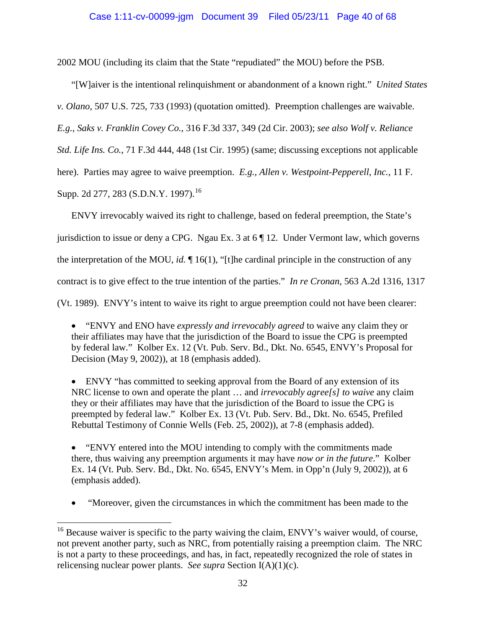2002 MOU (including its claim that the State "repudiated" the MOU) before the PSB.

"[W]aiver is the intentional relinquishment or abandonment of a known right." *United States v. Olano*, 507 U.S. 725, 733 (1993) (quotation omitted). Preemption challenges are waivable. *E.g.*, *Saks v. Franklin Covey Co.*, 316 F.3d 337, 349 (2d Cir. 2003); *see also Wolf v. Reliance Std. Life Ins. Co.*, 71 F.3d 444, 448 (1st Cir. 1995) (same; discussing exceptions not applicable here). Parties may agree to waive preemption. *E.g.*, *Allen v. Westpoint-Pepperell, Inc.*, 11 F. Supp. 2d 277, 283 (S.D.N.Y. 1997).<sup>[16](#page-39-0)</sup>

ENVY irrevocably waived its right to challenge, based on federal preemption, the State's jurisdiction to issue or deny a CPG. Ngau Ex. 3 at 6 ¶ 12. Under Vermont law, which governs the interpretation of the MOU, *id.* ¶ 16(1), "[t]he cardinal principle in the construction of any contract is to give effect to the true intention of the parties." *In re Cronan*, 563 A.2d 1316, 1317 (Vt. 1989). ENVY's intent to waive its right to argue preemption could not have been clearer:

• "ENVY and ENO have *expressly and irrevocably agreed* to waive any claim they or their affiliates may have that the jurisdiction of the Board to issue the CPG is preempted by federal law." Kolber Ex. 12 (Vt. Pub. Serv. Bd., Dkt. No. 6545, ENVY's Proposal for Decision (May 9, 2002)), at 18 (emphasis added).

• ENVY "has committed to seeking approval from the Board of any extension of its NRC license to own and operate the plant … and *irrevocably agree[s] to waive* any claim they or their affiliates may have that the jurisdiction of the Board to issue the CPG is preempted by federal law." Kolber Ex. 13 (Vt. Pub. Serv. Bd., Dkt. No. 6545, Prefiled Rebuttal Testimony of Connie Wells (Feb. 25, 2002)), at 7-8 (emphasis added).

• "ENVY entered into the MOU intending to comply with the commitments made there, thus waiving any preemption arguments it may have *now or in the future*." Kolber Ex. 14 (Vt. Pub. Serv. Bd., Dkt. No. 6545, ENVY's Mem. in Opp'n (July 9, 2002)), at 6 (emphasis added).

• "Moreover, given the circumstances in which the commitment has been made to the

<span id="page-39-0"></span><sup>&</sup>lt;sup>16</sup> Because waiver is specific to the party waiving the claim, ENVY's waiver would, of course, not prevent another party, such as NRC, from potentially raising a preemption claim. The NRC is not a party to these proceedings, and has, in fact, repeatedly recognized the role of states in relicensing nuclear power plants. *See supra* Section I(A)(1)(c).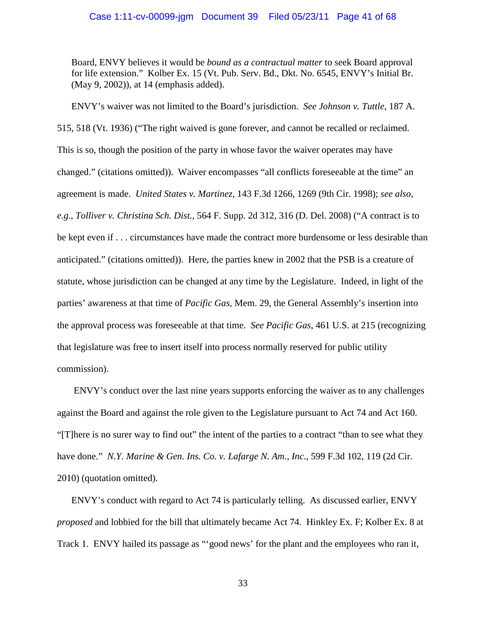Board, ENVY believes it would be *bound as a contractual matter* to seek Board approval for life extension."Kolber Ex. 15 (Vt. Pub. Serv. Bd., Dkt. No. 6545, ENVY's Initial Br. (May 9, 2002)), at 14 (emphasis added).

ENVY's waiver was not limited to the Board's jurisdiction. *See Johnson v. Tuttle*, 187 A. 515, 518 (Vt. 1936) ("The right waived is gone forever, and cannot be recalled or reclaimed. This is so, though the position of the party in whose favor the waiver operates may have changed." (citations omitted)). Waiver encompasses "all conflicts foreseeable at the time" an agreement is made. *United States v. Martinez*, 143 F.3d 1266, 1269 (9th Cir. 1998); *see also, e.g.*, *Tolliver v. Christina Sch. Dist.*, 564 F. Supp. 2d 312, 316 (D. Del. 2008) ("A contract is to be kept even if . . . circumstances have made the contract more burdensome or less desirable than anticipated." (citations omitted)). Here, the parties knew in 2002 that the PSB is a creature of statute, whose jurisdiction can be changed at any time by the Legislature. Indeed, in light of the parties' awareness at that time of *Pacific Gas*, Mem. 29, the General Assembly's insertion into the approval process was foreseeable at that time. *See Pacific Gas*, 461 U.S. at 215 (recognizing that legislature was free to insert itself into process normally reserved for public utility commission).

ENVY's conduct over the last nine years supports enforcing the waiver as to any challenges against the Board and against the role given to the Legislature pursuant to Act 74 and Act 160. "[T]here is no surer way to find out" the intent of the parties to a contract "than to see what they have done." *N.Y. Marine & Gen. Ins. Co. v. Lafarge N. Am., Inc.*, 599 F.3d 102, 119 (2d Cir. 2010) (quotation omitted).

ENVY's conduct with regard to Act 74 is particularly telling. As discussed earlier, ENVY *proposed* and lobbied for the bill that ultimately became Act 74. Hinkley Ex. F; Kolber Ex. 8 at Track 1. ENVY hailed its passage as "'good news' for the plant and the employees who ran it,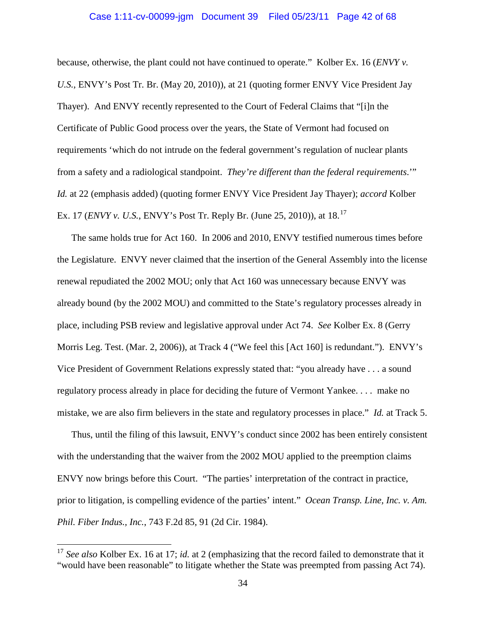# Case 1:11-cv-00099-jgm Document 39 Filed 05/23/11 Page 42 of 68

because, otherwise, the plant could not have continued to operate." Kolber Ex. 16 (*ENVY v. U.S.*, ENVY's Post Tr. Br. (May 20, 2010)), at 21 (quoting former ENVY Vice President Jay Thayer). And ENVY recently represented to the Court of Federal Claims that "[i]n the Certificate of Public Good process over the years, the State of Vermont had focused on requirements 'which do not intrude on the federal government's regulation of nuclear plants from a safety and a radiological standpoint. *They're different than the federal requirements*.'" *Id.* at 22 (emphasis added) (quoting former ENVY Vice President Jay Thayer); *accord* Kolber Ex. 17 (*ENVY v. U.S.*, ENVY's Post Tr. Reply Br. (June 25, 2010)), at 18. [17](#page-41-0)

The same holds true for Act 160. In 2006 and 2010, ENVY testified numerous times before the Legislature. ENVY never claimed that the insertion of the General Assembly into the license renewal repudiated the 2002 MOU; only that Act 160 was unnecessary because ENVY was already bound (by the 2002 MOU) and committed to the State's regulatory processes already in place, including PSB review and legislative approval under Act 74. *See* Kolber Ex. 8 (Gerry Morris Leg. Test. (Mar. 2, 2006)), at Track 4 ("We feel this [Act 160] is redundant."). ENVY's Vice President of Government Relations expressly stated that: "you already have . . . a sound regulatory process already in place for deciding the future of Vermont Yankee. . . . make no mistake, we are also firm believers in the state and regulatory processes in place." *Id.* at Track 5.

Thus, until the filing of this lawsuit, ENVY's conduct since 2002 has been entirely consistent with the understanding that the waiver from the 2002 MOU applied to the preemption claims ENVY now brings before this Court. "The parties' interpretation of the contract in practice, prior to litigation, is compelling evidence of the parties' intent." *Ocean Transp. Line, Inc. v. Am. Phil. Fiber Indus., Inc.*, 743 F.2d 85, 91 (2d Cir. 1984).

<span id="page-41-0"></span><sup>&</sup>lt;sup>17</sup> See also Kolber Ex. 16 at 17; *id.* at 2 (emphasizing that the record failed to demonstrate that it "would have been reasonable" to litigate whether the State was preempted from passing Act 74).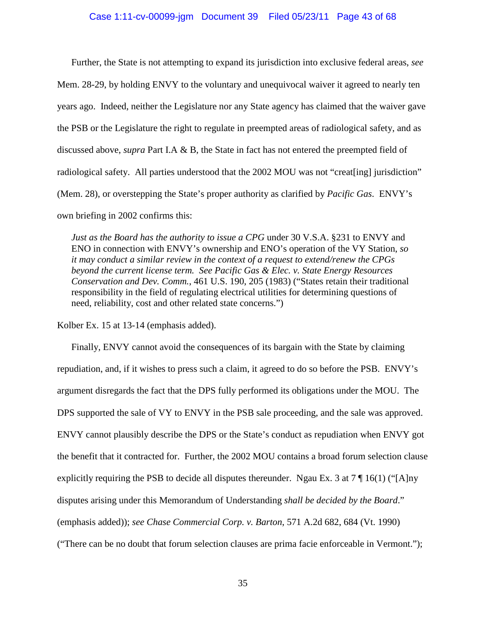#### Case 1:11-cv-00099-jgm Document 39 Filed 05/23/11 Page 43 of 68

Further, the State is not attempting to expand its jurisdiction into exclusive federal areas, *see* Mem. 28-29, by holding ENVY to the voluntary and unequivocal waiver it agreed to nearly ten years ago. Indeed, neither the Legislature nor any State agency has claimed that the waiver gave the PSB or the Legislature the right to regulate in preempted areas of radiological safety, and as discussed above, *supra* Part I.A & B, the State in fact has not entered the preempted field of radiological safety. All parties understood that the 2002 MOU was not "creat[ing] jurisdiction" (Mem. 28), or overstepping the State's proper authority as clarified by *Pacific Gas*. ENVY's own briefing in 2002 confirms this:

*Just as the Board has the authority to issue a CPG* under 30 V.S.A. §231 to ENVY and ENO in connection with ENVY's ownership and ENO's operation of the VY Station, *so it may conduct a similar review in the context of a request to extend/renew the CPGs beyond the current license term. See Pacific Gas & Elec. v. State Energy Resources Conservation and Dev. Comm.*, 461 U.S. 190, 205 (1983) ("States retain their traditional responsibility in the field of regulating electrical utilities for determining questions of need, reliability, cost and other related state concerns.")

Kolber Ex. 15 at 13-14 (emphasis added).

Finally, ENVY cannot avoid the consequences of its bargain with the State by claiming repudiation, and, if it wishes to press such a claim, it agreed to do so before the PSB. ENVY's argument disregards the fact that the DPS fully performed its obligations under the MOU. The DPS supported the sale of VY to ENVY in the PSB sale proceeding, and the sale was approved. ENVY cannot plausibly describe the DPS or the State's conduct as repudiation when ENVY got the benefit that it contracted for. Further, the 2002 MOU contains a broad forum selection clause explicitly requiring the PSB to decide all disputes thereunder. Ngau Ex. 3 at  $7 \sqrt{\frac{16(1)(^n}{A}n}$ disputes arising under this Memorandum of Understanding *shall be decided by the Board*." (emphasis added)); *see Chase Commercial Corp. v. Barton*, 571 A.2d 682, 684 (Vt. 1990) ("There can be no doubt that forum selection clauses are prima facie enforceable in Vermont.");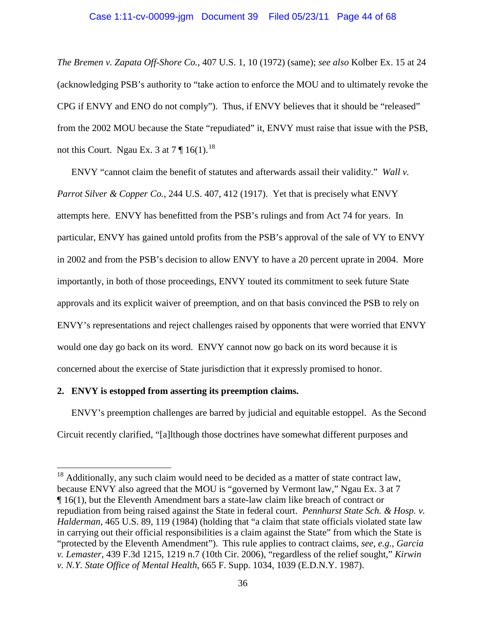#### Case 1:11-cv-00099-jgm Document 39 Filed 05/23/11 Page 44 of 68

*The Bremen v. Zapata Off-Shore Co.*, 407 U.S. 1, 10 (1972) (same); *see also* Kolber Ex. 15 at 24 (acknowledging PSB's authority to "take action to enforce the MOU and to ultimately revoke the CPG if ENVY and ENO do not comply"). Thus, if ENVY believes that it should be "released" from the 2002 MOU because the State "repudiated" it, ENVY must raise that issue with the PSB, not this Court. Ngau Ex. 3 at  $7 \text{ } \sqrt{\phantom{a}}$  16(1).<sup>[18](#page-43-0)</sup>

ENVY "cannot claim the benefit of statutes and afterwards assail their validity." *Wall v. Parrot Silver & Copper Co.*, 244 U.S. 407, 412 (1917). Yet that is precisely what ENVY attempts here. ENVY has benefitted from the PSB's rulings and from Act 74 for years. In particular, ENVY has gained untold profits from the PSB's approval of the sale of VY to ENVY in 2002 and from the PSB's decision to allow ENVY to have a 20 percent uprate in 2004. More importantly, in both of those proceedings, ENVY touted its commitment to seek future State approvals and its explicit waiver of preemption, and on that basis convinced the PSB to rely on ENVY's representations and reject challenges raised by opponents that were worried that ENVY would one day go back on its word. ENVY cannot now go back on its word because it is concerned about the exercise of State jurisdiction that it expressly promised to honor.

#### **2. ENVY is estopped from asserting its preemption claims.**

ENVY's preemption challenges are barred by judicial and equitable estoppel. As the Second Circuit recently clarified, "[a]lthough those doctrines have somewhat different purposes and

<span id="page-43-0"></span> $18$  Additionally, any such claim would need to be decided as a matter of state contract law, because ENVY also agreed that the MOU is "governed by Vermont law," Ngau Ex. 3 at 7 ¶ 16(1), but the Eleventh Amendment bars a state-law claim like breach of contract or repudiation from being raised against the State in federal court. *Pennhurst State Sch. & Hosp. v. Halderman*, 465 U.S. 89, 119 (1984) (holding that "a claim that state officials violated state law in carrying out their official responsibilities is a claim against the State" from which the State is "protected by the Eleventh Amendment"). This rule applies to contract claims, *see, e.g.*, *Garcia v. Lemaster*, 439 F.3d 1215, 1219 n.7 (10th Cir. 2006), "regardless of the relief sought," *Kirwin v. N.Y. State Office of Mental Health*, 665 F. Supp. 1034, 1039 (E.D.N.Y. 1987).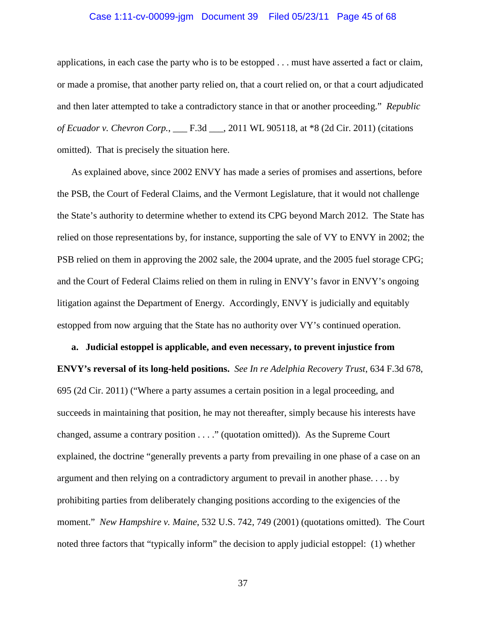#### Case 1:11-cv-00099-jgm Document 39 Filed 05/23/11 Page 45 of 68

applications, in each case the party who is to be estopped . . . must have asserted a fact or claim, or made a promise, that another party relied on, that a court relied on, or that a court adjudicated and then later attempted to take a contradictory stance in that or another proceeding." *Republic of Ecuador v. Chevron Corp.*, \_\_\_ F.3d \_\_\_, 2011 WL 905118, at \*8 (2d Cir. 2011) (citations omitted). That is precisely the situation here.

As explained above, since 2002 ENVY has made a series of promises and assertions, before the PSB, the Court of Federal Claims, and the Vermont Legislature, that it would not challenge the State's authority to determine whether to extend its CPG beyond March 2012. The State has relied on those representations by, for instance, supporting the sale of VY to ENVY in 2002; the PSB relied on them in approving the 2002 sale, the 2004 uprate, and the 2005 fuel storage CPG; and the Court of Federal Claims relied on them in ruling in ENVY's favor in ENVY's ongoing litigation against the Department of Energy. Accordingly, ENVY is judicially and equitably estopped from now arguing that the State has no authority over VY's continued operation.

**a. Judicial estoppel is applicable, and even necessary, to prevent injustice from ENVY's reversal of its long-held positions.** *See In re Adelphia Recovery Trust*, 634 F.3d 678, 695 (2d Cir. 2011) ("Where a party assumes a certain position in a legal proceeding, and succeeds in maintaining that position, he may not thereafter, simply because his interests have changed, assume a contrary position . . . ." (quotation omitted)). As the Supreme Court explained, the doctrine "generally prevents a party from prevailing in one phase of a case on an argument and then relying on a contradictory argument to prevail in another phase. . . . by prohibiting parties from deliberately changing positions according to the exigencies of the moment." *New Hampshire v. Maine*, 532 U.S. 742, 749 (2001) (quotations omitted). The Court noted three factors that "typically inform" the decision to apply judicial estoppel: (1) whether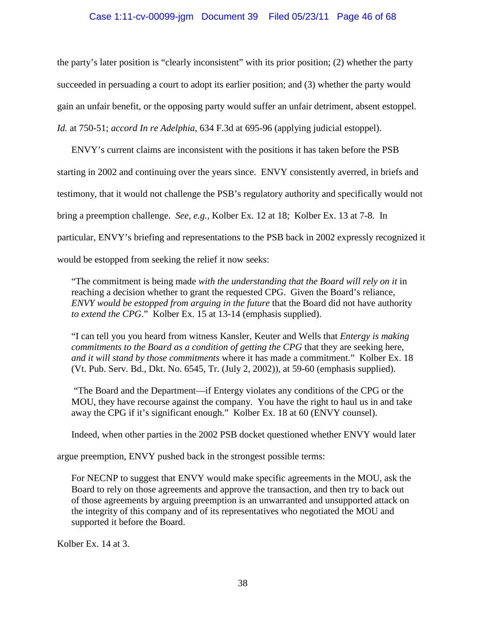# Case 1:11-cv-00099-jgm Document 39 Filed 05/23/11 Page 46 of 68

the party's later position is "clearly inconsistent" with its prior position; (2) whether the party succeeded in persuading a court to adopt its earlier position; and (3) whether the party would gain an unfair benefit, or the opposing party would suffer an unfair detriment, absent estoppel. *Id.* at 750-51; *accord In re Adelphia*, 634 F.3d at 695-96 (applying judicial estoppel).

ENVY's current claims are inconsistent with the positions it has taken before the PSB starting in 2002 and continuing over the years since. ENVY consistently averred, in briefs and testimony, that it would not challenge the PSB's regulatory authority and specifically would not bring a preemption challenge. *See, e.g.,* Kolber Ex. 12 at 18; Kolber Ex. 13 at 7-8. In particular, ENVY's briefing and representations to the PSB back in 2002 expressly recognized it would be estopped from seeking the relief it now seeks:

"The commitment is being made *with the understanding that the Board will rely on it* in reaching a decision whether to grant the requested CPG. Given the Board's reliance, *ENVY would be estopped from arguing in the future* that the Board did not have authority *to extend the CPG*." Kolber Ex. 15 at 13-14 (emphasis supplied).

"I can tell you you heard from witness Kansler, Keuter and Wells that *Entergy is making commitments to the Board as a condition of getting the CPG* that they are seeking here, *and it will stand by those commitments* where it has made a commitment." Kolber Ex. 18 (Vt. Pub. Serv. Bd., Dkt. No. 6545, Tr. (July 2, 2002)), at 59-60 (emphasis supplied).

"The Board and the Department—if Entergy violates any conditions of the CPG or the MOU, they have recourse against the company. You have the right to haul us in and take away the CPG if it's significant enough." Kolber Ex. 18 at 60 (ENVY counsel).

Indeed, when other parties in the 2002 PSB docket questioned whether ENVY would later

argue preemption, ENVY pushed back in the strongest possible terms:

For NECNP to suggest that ENVY would make specific agreements in the MOU, ask the Board to rely on those agreements and approve the transaction, and then try to back out of those agreements by arguing preemption is an unwarranted and unsupported attack on the integrity of this company and of its representatives who negotiated the MOU and supported it before the Board.

Kolber Ex. 14 at 3.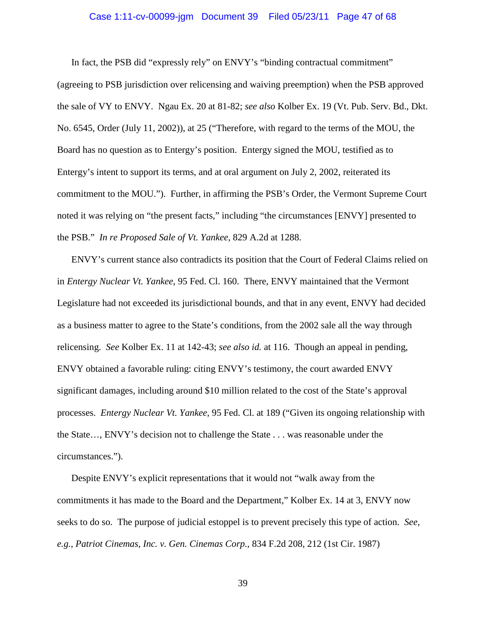#### Case 1:11-cv-00099-jgm Document 39 Filed 05/23/11 Page 47 of 68

In fact, the PSB did "expressly rely" on ENVY's "binding contractual commitment" (agreeing to PSB jurisdiction over relicensing and waiving preemption) when the PSB approved the sale of VY to ENVY. Ngau Ex. 20 at 81-82; *see also* Kolber Ex. 19 (Vt. Pub. Serv. Bd., Dkt. No. 6545, Order (July 11, 2002)), at 25 ("Therefore, with regard to the terms of the MOU, the Board has no question as to Entergy's position. Entergy signed the MOU, testified as to Entergy's intent to support its terms, and at oral argument on July 2, 2002, reiterated its commitment to the MOU."). Further, in affirming the PSB's Order, the Vermont Supreme Court noted it was relying on "the present facts," including "the circumstances [ENVY] presented to the PSB." *In re Proposed Sale of Vt. Yankee*, 829 A.2d at 1288.

ENVY's current stance also contradicts its position that the Court of Federal Claims relied on in *Entergy Nuclear Vt. Yankee*, 95 Fed. Cl. 160. There, ENVY maintained that the Vermont Legislature had not exceeded its jurisdictional bounds, and that in any event, ENVY had decided as a business matter to agree to the State's conditions, from the 2002 sale all the way through relicensing. *See* Kolber Ex. 11 at 142-43; *see also id.* at 116. Though an appeal in pending, ENVY obtained a favorable ruling: citing ENVY's testimony, the court awarded ENVY significant damages, including around \$10 million related to the cost of the State's approval processes. *Entergy Nuclear Vt. Yankee*, 95 Fed. Cl. at 189 ("Given its ongoing relationship with the State…, ENVY's decision not to challenge the State . . . was reasonable under the circumstances.").

Despite ENVY's explicit representations that it would not "walk away from the commitments it has made to the Board and the Department," Kolber Ex. 14 at 3, ENVY now seeks to do so. The purpose of judicial estoppel is to prevent precisely this type of action. *See, e.g.*, *Patriot Cinemas, Inc. v. Gen. Cinemas Corp.*, 834 F.2d 208, 212 (1st Cir. 1987)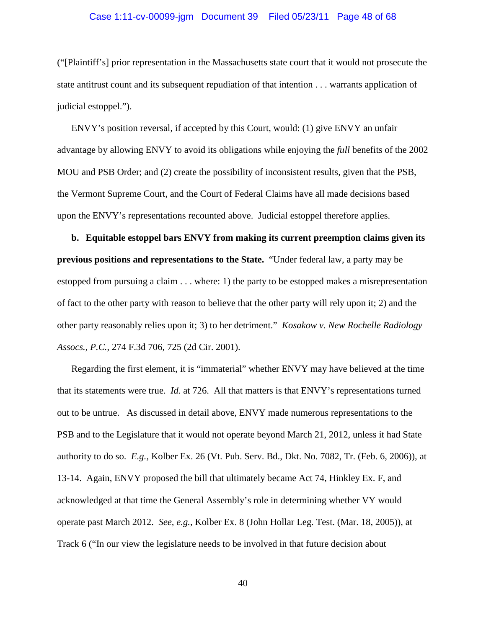#### Case 1:11-cv-00099-jgm Document 39 Filed 05/23/11 Page 48 of 68

("[Plaintiff's] prior representation in the Massachusetts state court that it would not prosecute the state antitrust count and its subsequent repudiation of that intention . . . warrants application of judicial estoppel.").

ENVY's position reversal, if accepted by this Court, would: (1) give ENVY an unfair advantage by allowing ENVY to avoid its obligations while enjoying the *full* benefits of the 2002 MOU and PSB Order; and (2) create the possibility of inconsistent results, given that the PSB, the Vermont Supreme Court, and the Court of Federal Claims have all made decisions based upon the ENVY's representations recounted above. Judicial estoppel therefore applies.

**b. Equitable estoppel bars ENVY from making its current preemption claims given its previous positions and representations to the State.** "Under federal law, a party may be estopped from pursuing a claim . . . where: 1) the party to be estopped makes a misrepresentation of fact to the other party with reason to believe that the other party will rely upon it; 2) and the other party reasonably relies upon it; 3) to her detriment." *Kosakow v. New Rochelle Radiology Assocs., P.C.*, 274 F.3d 706, 725 (2d Cir. 2001).

Regarding the first element, it is "immaterial" whether ENVY may have believed at the time that its statements were true. *Id.* at 726. All that matters is that ENVY's representations turned out to be untrue. As discussed in detail above, ENVY made numerous representations to the PSB and to the Legislature that it would not operate beyond March 21, 2012, unless it had State authority to do so. *E.g.,* Kolber Ex. 26 (Vt. Pub. Serv. Bd., Dkt. No. 7082, Tr. (Feb. 6, 2006)), at 13-14. Again, ENVY proposed the bill that ultimately became Act 74, Hinkley Ex. F, and acknowledged at that time the General Assembly's role in determining whether VY would operate past March 2012. *See, e.g.*, Kolber Ex. 8 (John Hollar Leg. Test. (Mar. 18, 2005)), at Track 6 ("In our view the legislature needs to be involved in that future decision about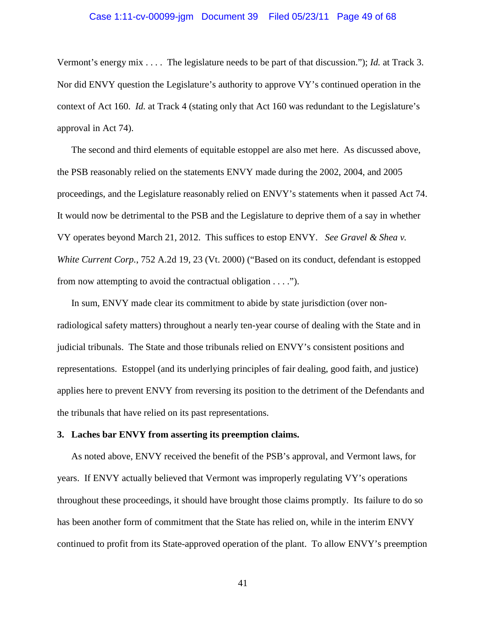#### Case 1:11-cv-00099-jgm Document 39 Filed 05/23/11 Page 49 of 68

Vermont's energy mix . . . . The legislature needs to be part of that discussion."); *Id.* at Track 3. Nor did ENVY question the Legislature's authority to approve VY's continued operation in the context of Act 160. *Id.* at Track 4 (stating only that Act 160 was redundant to the Legislature's approval in Act 74).

The second and third elements of equitable estoppel are also met here. As discussed above, the PSB reasonably relied on the statements ENVY made during the 2002, 2004, and 2005 proceedings, and the Legislature reasonably relied on ENVY's statements when it passed Act 74. It would now be detrimental to the PSB and the Legislature to deprive them of a say in whether VY operates beyond March 21, 2012. This suffices to estop ENVY. *See Gravel & Shea v. White Current Corp.*, 752 A.2d 19, 23 (Vt. 2000) ("Based on its conduct, defendant is estopped from now attempting to avoid the contractual obligation . . . .").

In sum, ENVY made clear its commitment to abide by state jurisdiction (over nonradiological safety matters) throughout a nearly ten-year course of dealing with the State and in judicial tribunals. The State and those tribunals relied on ENVY's consistent positions and representations. Estoppel (and its underlying principles of fair dealing, good faith, and justice) applies here to prevent ENVY from reversing its position to the detriment of the Defendants and the tribunals that have relied on its past representations.

# **3. Laches bar ENVY from asserting its preemption claims.**

As noted above, ENVY received the benefit of the PSB's approval, and Vermont laws, for years. If ENVY actually believed that Vermont was improperly regulating VY's operations throughout these proceedings, it should have brought those claims promptly. Its failure to do so has been another form of commitment that the State has relied on, while in the interim ENVY continued to profit from its State-approved operation of the plant. To allow ENVY's preemption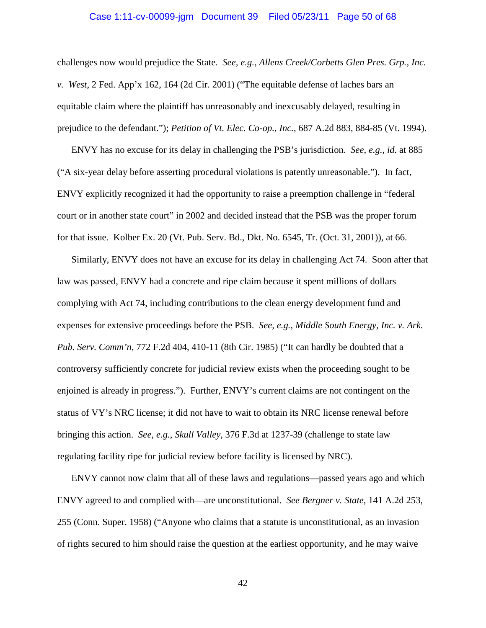#### Case 1:11-cv-00099-jgm Document 39 Filed 05/23/11 Page 50 of 68

challenges now would prejudice the State. *See, e.g.*, *Allens Creek/Corbetts Glen Pres. Grp., Inc. v. West*, 2 Fed. App'x 162, 164 (2d Cir. 2001) ("The equitable defense of laches bars an equitable claim where the plaintiff has unreasonably and inexcusably delayed, resulting in prejudice to the defendant."); *Petition of Vt. Elec. Co-op., Inc.*, 687 A.2d 883, 884-85 (Vt. 1994).

ENVY has no excuse for its delay in challenging the PSB's jurisdiction. *See, e.g.*, *id.* at 885 ("A six-year delay before asserting procedural violations is patently unreasonable."). In fact, ENVY explicitly recognized it had the opportunity to raise a preemption challenge in "federal court or in another state court" in 2002 and decided instead that the PSB was the proper forum for that issue. Kolber Ex. 20 (Vt. Pub. Serv. Bd., Dkt. No. 6545, Tr. (Oct. 31, 2001)), at 66.

Similarly, ENVY does not have an excuse for its delay in challenging Act 74. Soon after that law was passed, ENVY had a concrete and ripe claim because it spent millions of dollars complying with Act 74, including contributions to the clean energy development fund and expenses for extensive proceedings before the PSB. *See, e.g.*, *Middle South Energy, Inc. v. Ark. Pub. Serv. Comm'n,* 772 F.2d 404, 410-11 (8th Cir. 1985) ("It can hardly be doubted that a controversy sufficiently concrete for judicial review exists when the proceeding sought to be enjoined is already in progress."). Further, ENVY's current claims are not contingent on the status of VY's NRC license; it did not have to wait to obtain its NRC license renewal before bringing this action. *See, e.g.*, *Skull Valley*, 376 F.3d at 1237-39 (challenge to state law regulating facility ripe for judicial review before facility is licensed by NRC).

ENVY cannot now claim that all of these laws and regulations—passed years ago and which ENVY agreed to and complied with—are unconstitutional. *See Bergner v. State*, 141 A.2d 253, 255 (Conn. Super. 1958) ("Anyone who claims that a statute is unconstitutional, as an invasion of rights secured to him should raise the question at the earliest opportunity, and he may waive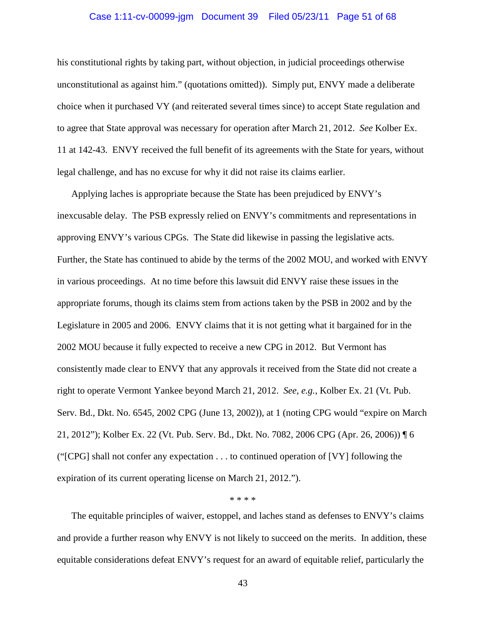#### Case 1:11-cv-00099-jgm Document 39 Filed 05/23/11 Page 51 of 68

his constitutional rights by taking part, without objection, in judicial proceedings otherwise unconstitutional as against him." (quotations omitted)). Simply put, ENVY made a deliberate choice when it purchased VY (and reiterated several times since) to accept State regulation and to agree that State approval was necessary for operation after March 21, 2012. *See* Kolber Ex. 11 at 142-43. ENVY received the full benefit of its agreements with the State for years, without legal challenge, and has no excuse for why it did not raise its claims earlier.

Applying laches is appropriate because the State has been prejudiced by ENVY's inexcusable delay. The PSB expressly relied on ENVY's commitments and representations in approving ENVY's various CPGs. The State did likewise in passing the legislative acts. Further, the State has continued to abide by the terms of the 2002 MOU, and worked with ENVY in various proceedings. At no time before this lawsuit did ENVY raise these issues in the appropriate forums, though its claims stem from actions taken by the PSB in 2002 and by the Legislature in 2005 and 2006. ENVY claims that it is not getting what it bargained for in the 2002 MOU because it fully expected to receive a new CPG in 2012. But Vermont has consistently made clear to ENVY that any approvals it received from the State did not create a right to operate Vermont Yankee beyond March 21, 2012. *See, e.g.*, Kolber Ex. 21 (Vt. Pub. Serv. Bd., Dkt. No. 6545, 2002 CPG (June 13, 2002)), at 1 (noting CPG would "expire on March 21, 2012"); Kolber Ex. 22 (Vt. Pub. Serv. Bd., Dkt. No. 7082, 2006 CPG (Apr. 26, 2006)) ¶ 6 ("[CPG] shall not confer any expectation . . . to continued operation of [VY] following the expiration of its current operating license on March 21, 2012.").

#### \* \* \* \*

The equitable principles of waiver, estoppel, and laches stand as defenses to ENVY's claims and provide a further reason why ENVY is not likely to succeed on the merits. In addition, these equitable considerations defeat ENVY's request for an award of equitable relief, particularly the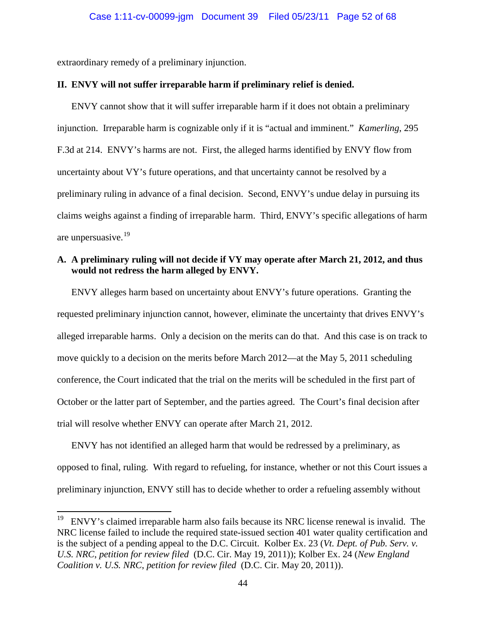extraordinary remedy of a preliminary injunction.

#### **II. ENVY will not suffer irreparable harm if preliminary relief is denied.**

ENVY cannot show that it will suffer irreparable harm if it does not obtain a preliminary injunction. Irreparable harm is cognizable only if it is "actual and imminent." *Kamerling*, 295 F.3d at 214. ENVY's harms are not. First, the alleged harms identified by ENVY flow from uncertainty about VY's future operations, and that uncertainty cannot be resolved by a preliminary ruling in advance of a final decision. Second, ENVY's undue delay in pursuing its claims weighs against a finding of irreparable harm. Third, ENVY's specific allegations of harm are unpersuasive.[19](#page-51-0)

# **A. A preliminary ruling will not decide if VY may operate after March 21, 2012, and thus would not redress the harm alleged by ENVY.**

ENVY alleges harm based on uncertainty about ENVY's future operations. Granting the requested preliminary injunction cannot, however, eliminate the uncertainty that drives ENVY's alleged irreparable harms. Only a decision on the merits can do that. And this case is on track to move quickly to a decision on the merits before March 2012—at the May 5, 2011 scheduling conference, the Court indicated that the trial on the merits will be scheduled in the first part of October or the latter part of September, and the parties agreed. The Court's final decision after trial will resolve whether ENVY can operate after March 21, 2012.

ENVY has not identified an alleged harm that would be redressed by a preliminary, as opposed to final, ruling. With regard to refueling, for instance, whether or not this Court issues a preliminary injunction, ENVY still has to decide whether to order a refueling assembly without

<span id="page-51-0"></span> $19$  ENVY's claimed irreparable harm also fails because its NRC license renewal is invalid. The NRC license failed to include the required state-issued section 401 water quality certification and is the subject of a pending appeal to the D.C. Circuit. Kolber Ex. 23 (*Vt. Dept. of Pub. Serv. v. U.S. NRC*, *petition for review filed* (D.C. Cir. May 19, 2011)); Kolber Ex. 24 (*New England Coalition v. U.S. NRC*, *petition for review filed* (D.C. Cir. May 20, 2011)).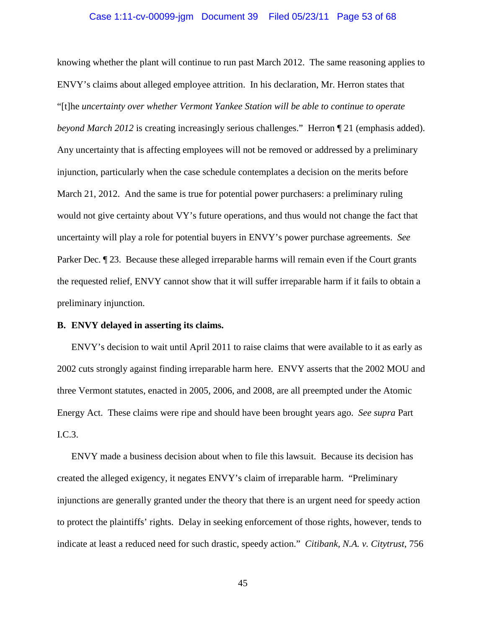#### Case 1:11-cv-00099-jgm Document 39 Filed 05/23/11 Page 53 of 68

knowing whether the plant will continue to run past March 2012. The same reasoning applies to ENVY's claims about alleged employee attrition. In his declaration, Mr. Herron states that "[t]he *uncertainty over whether Vermont Yankee Station will be able to continue to operate beyond March 2012* is creating increasingly serious challenges." Herron ¶ 21 (emphasis added). Any uncertainty that is affecting employees will not be removed or addressed by a preliminary injunction, particularly when the case schedule contemplates a decision on the merits before March 21, 2012. And the same is true for potential power purchasers: a preliminary ruling would not give certainty about VY's future operations, and thus would not change the fact that uncertainty will play a role for potential buyers in ENVY's power purchase agreements. *See* Parker Dec.  $\P$  23. Because these alleged irreparable harms will remain even if the Court grants the requested relief, ENVY cannot show that it will suffer irreparable harm if it fails to obtain a preliminary injunction.

#### **B. ENVY delayed in asserting its claims.**

ENVY's decision to wait until April 2011 to raise claims that were available to it as early as 2002 cuts strongly against finding irreparable harm here. ENVY asserts that the 2002 MOU and three Vermont statutes, enacted in 2005, 2006, and 2008, are all preempted under the Atomic Energy Act. These claims were ripe and should have been brought years ago. *See supra* Part I.C.3.

ENVY made a business decision about when to file this lawsuit. Because its decision has created the alleged exigency, it negates ENVY's claim of irreparable harm. "Preliminary injunctions are generally granted under the theory that there is an urgent need for speedy action to protect the plaintiffs' rights. Delay in seeking enforcement of those rights, however, tends to indicate at least a reduced need for such drastic, speedy action." *Citibank, N.A. v. Citytrust*, 756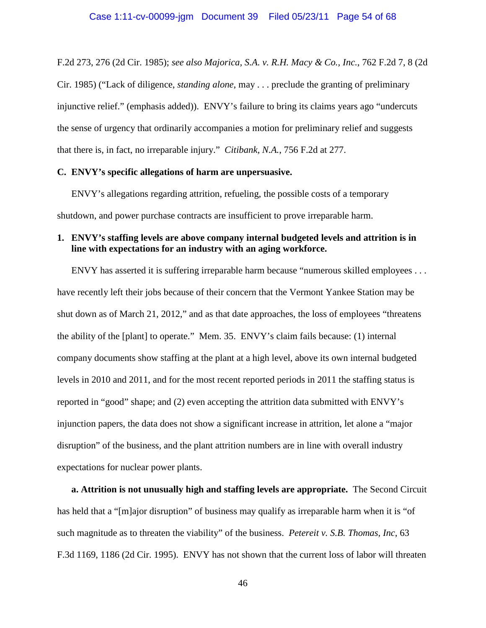F.2d 273, 276 (2d Cir. 1985); *see also Majorica, S.A. v. R.H. Macy & Co., Inc.*, 762 F.2d 7, 8 (2d Cir. 1985) ("Lack of diligence, *standing alone*, may . . . preclude the granting of preliminary injunctive relief." (emphasis added)). ENVY's failure to bring its claims years ago "undercuts the sense of urgency that ordinarily accompanies a motion for preliminary relief and suggests that there is, in fact, no irreparable injury." *Citibank, N.A.*, 756 F.2d at 277.

#### **C. ENVY's specific allegations of harm are unpersuasive.**

ENVY's allegations regarding attrition, refueling, the possible costs of a temporary shutdown, and power purchase contracts are insufficient to prove irreparable harm.

# **1. ENVY's staffing levels are above company internal budgeted levels and attrition is in line with expectations for an industry with an aging workforce.**

ENVY has asserted it is suffering irreparable harm because "numerous skilled employees . . . have recently left their jobs because of their concern that the Vermont Yankee Station may be shut down as of March 21, 2012," and as that date approaches, the loss of employees "threatens the ability of the [plant] to operate." Mem. 35. ENVY's claim fails because: (1) internal company documents show staffing at the plant at a high level, above its own internal budgeted levels in 2010 and 2011, and for the most recent reported periods in 2011 the staffing status is reported in "good" shape; and (2) even accepting the attrition data submitted with ENVY's injunction papers, the data does not show a significant increase in attrition, let alone a "major disruption" of the business, and the plant attrition numbers are in line with overall industry expectations for nuclear power plants.

**a. Attrition is not unusually high and staffing levels are appropriate.** The Second Circuit has held that a "[m]ajor disruption" of business may qualify as irreparable harm when it is "of such magnitude as to threaten the viability" of the business. *Petereit v. S.B. Thomas, Inc*, 63 F.3d 1169, 1186 (2d Cir. 1995). ENVY has not shown that the current loss of labor will threaten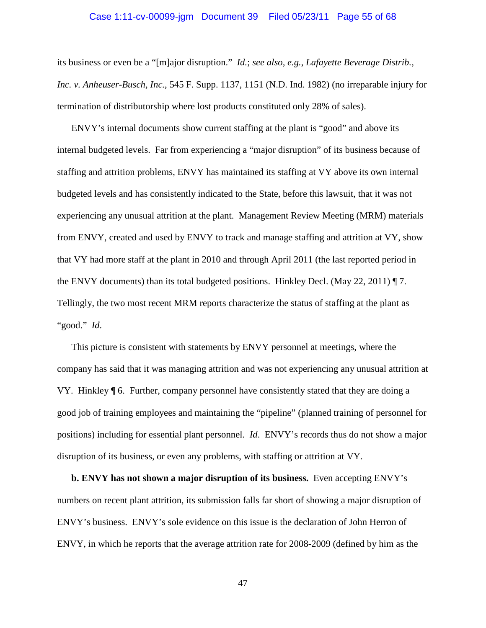#### Case 1:11-cv-00099-jgm Document 39 Filed 05/23/11 Page 55 of 68

its business or even be a "[m]ajor disruption." *Id.*; *see also, e.g.*, *Lafayette Beverage Distrib., Inc. v. Anheuser-Busch, Inc.*, 545 F. Supp. 1137, 1151 (N.D. Ind. 1982) (no irreparable injury for termination of distributorship where lost products constituted only 28% of sales).

ENVY's internal documents show current staffing at the plant is "good" and above its internal budgeted levels. Far from experiencing a "major disruption" of its business because of staffing and attrition problems, ENVY has maintained its staffing at VY above its own internal budgeted levels and has consistently indicated to the State, before this lawsuit, that it was not experiencing any unusual attrition at the plant. Management Review Meeting (MRM) materials from ENVY, created and used by ENVY to track and manage staffing and attrition at VY, show that VY had more staff at the plant in 2010 and through April 2011 (the last reported period in the ENVY documents) than its total budgeted positions. Hinkley Decl. (May 22, 2011) ¶ 7. Tellingly, the two most recent MRM reports characterize the status of staffing at the plant as "good." *Id*.

This picture is consistent with statements by ENVY personnel at meetings, where the company has said that it was managing attrition and was not experiencing any unusual attrition at VY. Hinkley ¶ 6. Further, company personnel have consistently stated that they are doing a good job of training employees and maintaining the "pipeline" (planned training of personnel for positions) including for essential plant personnel. *Id*. ENVY's records thus do not show a major disruption of its business, or even any problems, with staffing or attrition at VY.

**b. ENVY has not shown a major disruption of its business.** Even accepting ENVY's numbers on recent plant attrition, its submission falls far short of showing a major disruption of ENVY's business. ENVY's sole evidence on this issue is the declaration of John Herron of ENVY, in which he reports that the average attrition rate for 2008-2009 (defined by him as the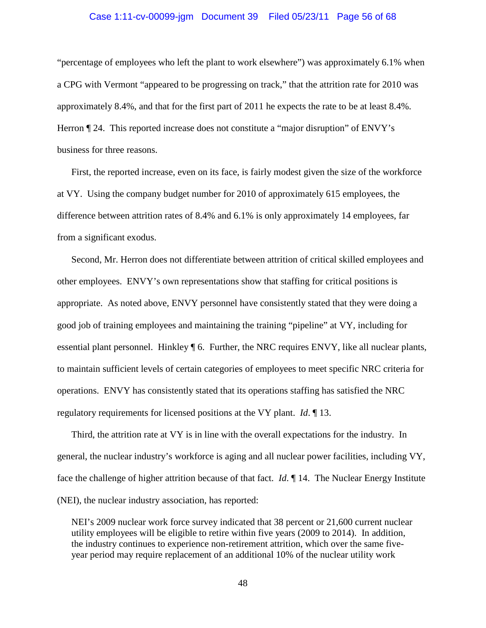#### Case 1:11-cv-00099-jgm Document 39 Filed 05/23/11 Page 56 of 68

"percentage of employees who left the plant to work elsewhere") was approximately 6.1% when a CPG with Vermont "appeared to be progressing on track," that the attrition rate for 2010 was approximately 8.4%, and that for the first part of 2011 he expects the rate to be at least 8.4%. Herron  $\P$  24. This reported increase does not constitute a "major disruption" of ENVY's business for three reasons.

First, the reported increase, even on its face, is fairly modest given the size of the workforce at VY. Using the company budget number for 2010 of approximately 615 employees, the difference between attrition rates of 8.4% and 6.1% is only approximately 14 employees, far from a significant exodus.

Second, Mr. Herron does not differentiate between attrition of critical skilled employees and other employees. ENVY's own representations show that staffing for critical positions is appropriate. As noted above, ENVY personnel have consistently stated that they were doing a good job of training employees and maintaining the training "pipeline" at VY, including for essential plant personnel. Hinkley ¶ 6. Further, the NRC requires ENVY, like all nuclear plants, to maintain sufficient levels of certain categories of employees to meet specific NRC criteria for operations. ENVY has consistently stated that its operations staffing has satisfied the NRC regulatory requirements for licensed positions at the VY plant. *Id*. ¶ 13.

Third, the attrition rate at VY is in line with the overall expectations for the industry. In general, the nuclear industry's workforce is aging and all nuclear power facilities, including VY, face the challenge of higher attrition because of that fact. *Id*. ¶ 14. The Nuclear Energy Institute (NEI), the nuclear industry association, has reported:

NEI's 2009 nuclear work force survey indicated that 38 percent or 21,600 current nuclear utility employees will be eligible to retire within five years (2009 to 2014). In addition, the industry continues to experience non-retirement attrition, which over the same fiveyear period may require replacement of an additional 10% of the nuclear utility work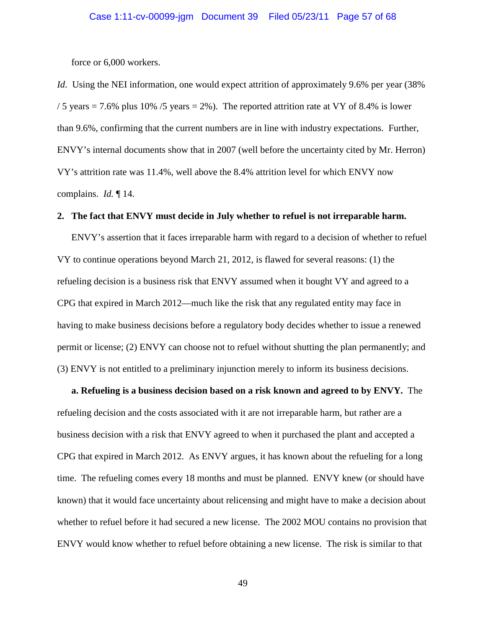force or 6,000 workers.

*Id.* Using the NEI information, one would expect attrition of approximately 9.6% per year (38%) / 5 years  $= 7.6\%$  plus 10% / 5 years  $= 2\%$ ). The reported attrition rate at VY of 8.4% is lower than 9.6%, confirming that the current numbers are in line with industry expectations. Further, ENVY's internal documents show that in 2007 (well before the uncertainty cited by Mr. Herron) VY's attrition rate was 11.4%, well above the 8.4% attrition level for which ENVY now complains. *Id.* ¶ 14.

#### **2. The fact that ENVY must decide in July whether to refuel is not irreparable harm.**

ENVY's assertion that it faces irreparable harm with regard to a decision of whether to refuel VY to continue operations beyond March 21, 2012, is flawed for several reasons: (1) the refueling decision is a business risk that ENVY assumed when it bought VY and agreed to a CPG that expired in March 2012—much like the risk that any regulated entity may face in having to make business decisions before a regulatory body decides whether to issue a renewed permit or license; (2) ENVY can choose not to refuel without shutting the plan permanently; and (3) ENVY is not entitled to a preliminary injunction merely to inform its business decisions.

**a. Refueling is a business decision based on a risk known and agreed to by ENVY.** The refueling decision and the costs associated with it are not irreparable harm, but rather are a business decision with a risk that ENVY agreed to when it purchased the plant and accepted a CPG that expired in March 2012. As ENVY argues, it has known about the refueling for a long time. The refueling comes every 18 months and must be planned. ENVY knew (or should have known) that it would face uncertainty about relicensing and might have to make a decision about whether to refuel before it had secured a new license. The 2002 MOU contains no provision that ENVY would know whether to refuel before obtaining a new license. The risk is similar to that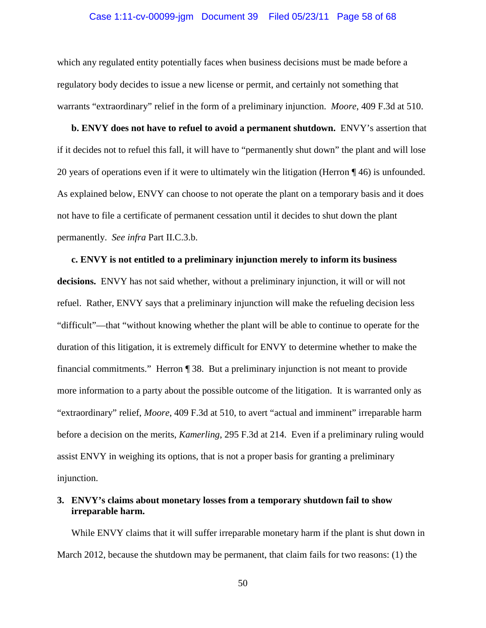#### Case 1:11-cv-00099-jgm Document 39 Filed 05/23/11 Page 58 of 68

which any regulated entity potentially faces when business decisions must be made before a regulatory body decides to issue a new license or permit, and certainly not something that warrants "extraordinary" relief in the form of a preliminary injunction. *Moore*, 409 F.3d at 510.

**b. ENVY does not have to refuel to avoid a permanent shutdown.** ENVY's assertion that if it decides not to refuel this fall, it will have to "permanently shut down" the plant and will lose 20 years of operations even if it were to ultimately win the litigation (Herron ¶ 46) is unfounded. As explained below, ENVY can choose to not operate the plant on a temporary basis and it does not have to file a certificate of permanent cessation until it decides to shut down the plant permanently. *See infra* Part II.C.3.b.

# **c. ENVY is not entitled to a preliminary injunction merely to inform its business decisions.** ENVY has not said whether, without a preliminary injunction, it will or will not refuel. Rather, ENVY says that a preliminary injunction will make the refueling decision less "difficult"—that "without knowing whether the plant will be able to continue to operate for the duration of this litigation, it is extremely difficult for ENVY to determine whether to make the financial commitments." Herron ¶ 38. But a preliminary injunction is not meant to provide more information to a party about the possible outcome of the litigation. It is warranted only as "extraordinary" relief, *Moore*, 409 F.3d at 510, to avert "actual and imminent" irreparable harm before a decision on the merits, *Kamerling*, 295 F.3d at 214. Even if a preliminary ruling would assist ENVY in weighing its options, that is not a proper basis for granting a preliminary injunction.

# **3. ENVY's claims about monetary losses from a temporary shutdown fail to show irreparable harm.**

While ENVY claims that it will suffer irreparable monetary harm if the plant is shut down in March 2012, because the shutdown may be permanent, that claim fails for two reasons: (1) the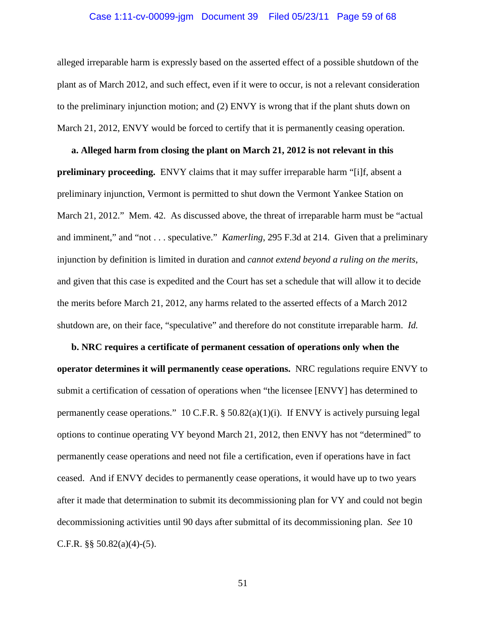# Case 1:11-cv-00099-jgm Document 39 Filed 05/23/11 Page 59 of 68

alleged irreparable harm is expressly based on the asserted effect of a possible shutdown of the plant as of March 2012, and such effect, even if it were to occur, is not a relevant consideration to the preliminary injunction motion; and (2) ENVY is wrong that if the plant shuts down on March 21, 2012, ENVY would be forced to certify that it is permanently ceasing operation.

**a. Alleged harm from closing the plant on March 21, 2012 is not relevant in this preliminary proceeding.** ENVY claims that it may suffer irreparable harm "[i]f, absent a preliminary injunction, Vermont is permitted to shut down the Vermont Yankee Station on March 21, 2012." Mem. 42. As discussed above, the threat of irreparable harm must be "actual and imminent," and "not . . . speculative." *Kamerling*, 295 F.3d at 214. Given that a preliminary injunction by definition is limited in duration and *cannot extend beyond a ruling on the merits*, and given that this case is expedited and the Court has set a schedule that will allow it to decide the merits before March 21, 2012, any harms related to the asserted effects of a March 2012 shutdown are, on their face, "speculative" and therefore do not constitute irreparable harm. *Id.*

**b. NRC requires a certificate of permanent cessation of operations only when the operator determines it will permanently cease operations.** NRC regulations require ENVY to submit a certification of cessation of operations when "the licensee [ENVY] has determined to permanently cease operations." 10 C.F.R.  $\S$  50.82(a)(1)(i). If ENVY is actively pursuing legal options to continue operating VY beyond March 21, 2012, then ENVY has not "determined" to permanently cease operations and need not file a certification, even if operations have in fact ceased. And if ENVY decides to permanently cease operations, it would have up to two years after it made that determination to submit its decommissioning plan for VY and could not begin decommissioning activities until 90 days after submittal of its decommissioning plan. *See* 10 C.F.R.  $\S$ § 50.82(a)(4)-(5).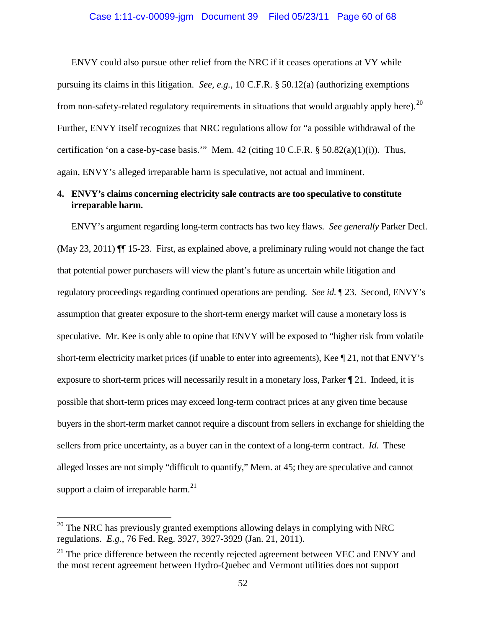ENVY could also pursue other relief from the NRC if it ceases operations at VY while pursuing its claims in this litigation. *See, e.g.*, 10 C.F.R. § 50.12(a) (authorizing exemptions from non-safety-related regulatory requirements in situations that would arguably apply here).<sup>[20](#page-59-0)</sup> Further, ENVY itself recognizes that NRC regulations allow for "a possible withdrawal of the certification 'on a case-by-case basis.'" Mem. 42 (citing 10 C.F.R. § 50.82(a)(1)(i)). Thus, again, ENVY's alleged irreparable harm is speculative, not actual and imminent.

# **4. ENVY's claims concerning electricity sale contracts are too speculative to constitute irreparable harm.**

ENVY's argument regarding long-term contracts has two key flaws. *See generally* Parker Decl. (May 23, 2011) ¶¶ 15-23. First, as explained above, a preliminary ruling would not change the fact that potential power purchasers will view the plant's future as uncertain while litigation and regulatory proceedings regarding continued operations are pending. *See id.* ¶ 23. Second, ENVY's assumption that greater exposure to the short-term energy market will cause a monetary loss is speculative. Mr. Kee is only able to opine that ENVY will be exposed to "higher risk from volatile short-term electricity market prices (if unable to enter into agreements), Kee ¶ 21, not that ENVY's exposure to short-term prices will necessarily result in a monetary loss, Parker ¶ 21. Indeed, it is possible that short-term prices may exceed long-term contract prices at any given time because buyers in the short-term market cannot require a discount from sellers in exchange for shielding the sellers from price uncertainty, as a buyer can in the context of a long-term contract. *Id*. These alleged losses are not simply "difficult to quantify," Mem. at 45; they are speculative and cannot support a claim of irreparable harm. $^{21}$  $^{21}$  $^{21}$ 

<span id="page-59-0"></span> $20$  The NRC has previously granted exemptions allowing delays in complying with NRC regulations. *E.g.*, 76 Fed. Reg. 3927, 3927-3929 (Jan. 21, 2011).

<span id="page-59-1"></span> $21$  The price difference between the recently rejected agreement between VEC and ENVY and the most recent agreement between Hydro-Quebec and Vermont utilities does not support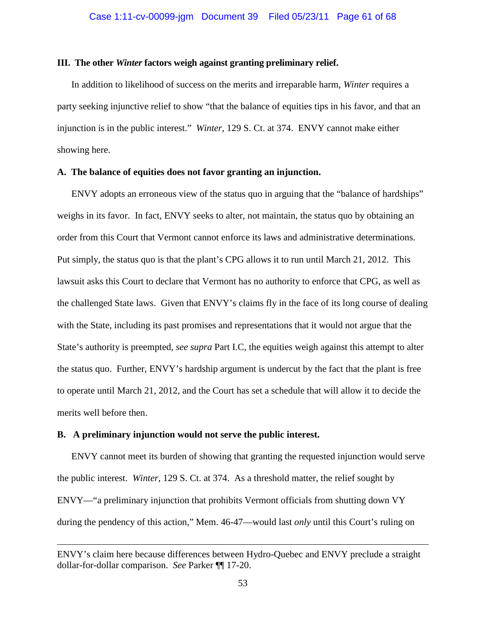#### **III. The other** *Winter* **factors weigh against granting preliminary relief.**

In addition to likelihood of success on the merits and irreparable harm, *Winter* requires a party seeking injunctive relief to show "that the balance of equities tips in his favor, and that an injunction is in the public interest." *Winter*, 129 S. Ct. at 374. ENVY cannot make either showing here.

#### **A. The balance of equities does not favor granting an injunction.**

ENVY adopts an erroneous view of the status quo in arguing that the "balance of hardships" weighs in its favor. In fact, ENVY seeks to alter, not maintain, the status quo by obtaining an order from this Court that Vermont cannot enforce its laws and administrative determinations. Put simply, the status quo is that the plant's CPG allows it to run until March 21, 2012. This lawsuit asks this Court to declare that Vermont has no authority to enforce that CPG, as well as the challenged State laws. Given that ENVY's claims fly in the face of its long course of dealing with the State, including its past promises and representations that it would not argue that the State's authority is preempted, *see supra* Part I.C, the equities weigh against this attempt to alter the status quo. Further, ENVY's hardship argument is undercut by the fact that the plant is free to operate until March 21, 2012, and the Court has set a schedule that will allow it to decide the merits well before then.

#### **B. A preliminary injunction would not serve the public interest.**

 $\overline{a}$ 

ENVY cannot meet its burden of showing that granting the requested injunction would serve the public interest. *Winter*, 129 S. Ct. at 374. As a threshold matter, the relief sought by ENVY—"a preliminary injunction that prohibits Vermont officials from shutting down VY during the pendency of this action," Mem. 46-47—would last *only* until this Court's ruling on

ENVY's claim here because differences between Hydro-Quebec and ENVY preclude a straight dollar-for-dollar comparison. *See* Parker ¶¶ 17-20.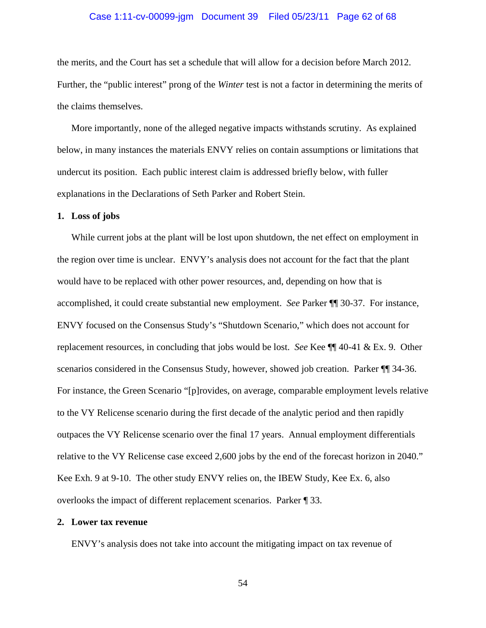#### Case 1:11-cv-00099-jgm Document 39 Filed 05/23/11 Page 62 of 68

the merits, and the Court has set a schedule that will allow for a decision before March 2012. Further, the "public interest" prong of the *Winter* test is not a factor in determining the merits of the claims themselves.

More importantly, none of the alleged negative impacts withstands scrutiny. As explained below, in many instances the materials ENVY relies on contain assumptions or limitations that undercut its position. Each public interest claim is addressed briefly below, with fuller explanations in the Declarations of Seth Parker and Robert Stein.

#### **1. Loss of jobs**

While current jobs at the plant will be lost upon shutdown, the net effect on employment in the region over time is unclear. ENVY's analysis does not account for the fact that the plant would have to be replaced with other power resources, and, depending on how that is accomplished, it could create substantial new employment. *See* Parker ¶¶ 30-37. For instance, ENVY focused on the Consensus Study's "Shutdown Scenario," which does not account for replacement resources, in concluding that jobs would be lost. *See* Kee ¶¶ 40-41 & Ex. 9. Other scenarios considered in the Consensus Study, however, showed job creation. Parker ¶¶ 34-36. For instance, the Green Scenario "[p]rovides, on average, comparable employment levels relative to the VY Relicense scenario during the first decade of the analytic period and then rapidly outpaces the VY Relicense scenario over the final 17 years. Annual employment differentials relative to the VY Relicense case exceed 2,600 jobs by the end of the forecast horizon in 2040." Kee Exh. 9 at 9-10. The other study ENVY relies on, the IBEW Study, Kee Ex. 6, also overlooks the impact of different replacement scenarios. Parker ¶ 33.

#### **2. Lower tax revenue**

ENVY's analysis does not take into account the mitigating impact on tax revenue of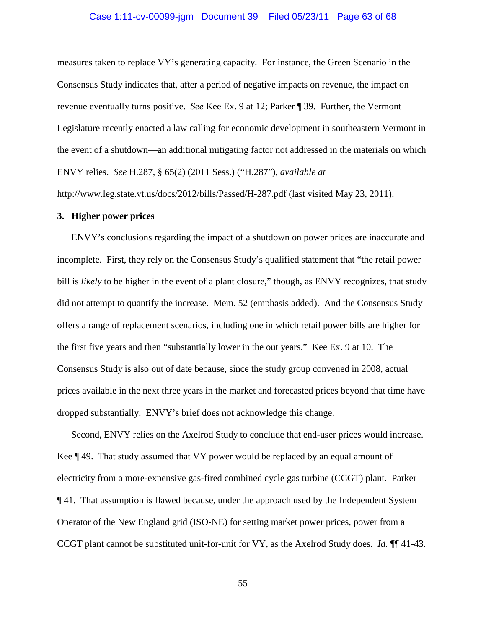#### Case 1:11-cv-00099-jgm Document 39 Filed 05/23/11 Page 63 of 68

measures taken to replace VY's generating capacity. For instance, the Green Scenario in the Consensus Study indicates that, after a period of negative impacts on revenue, the impact on revenue eventually turns positive. *See* Kee Ex. 9 at 12; Parker ¶ 39. Further, the Vermont Legislature recently enacted a law calling for economic development in southeastern Vermont in the event of a shutdown—an additional mitigating factor not addressed in the materials on which ENVY relies. *See* H.287, § 65(2) (2011 Sess.) ("H.287"), *available at*

http://www.leg.state.vt.us/docs/2012/bills/Passed/H-287.pdf (last visited May 23, 2011).

#### **3. Higher power prices**

ENVY's conclusions regarding the impact of a shutdown on power prices are inaccurate and incomplete. First, they rely on the Consensus Study's qualified statement that "the retail power bill is *likely* to be higher in the event of a plant closure," though, as ENVY recognizes, that study did not attempt to quantify the increase. Mem. 52 (emphasis added). And the Consensus Study offers a range of replacement scenarios, including one in which retail power bills are higher for the first five years and then "substantially lower in the out years." Kee Ex. 9 at 10. The Consensus Study is also out of date because, since the study group convened in 2008, actual prices available in the next three years in the market and forecasted prices beyond that time have dropped substantially. ENVY's brief does not acknowledge this change.

Second, ENVY relies on the Axelrod Study to conclude that end-user prices would increase. Kee ¶ 49. That study assumed that VY power would be replaced by an equal amount of electricity from a more-expensive gas-fired combined cycle gas turbine (CCGT) plant. Parker ¶ 41. That assumption is flawed because, under the approach used by the Independent System Operator of the New England grid (ISO-NE) for setting market power prices, power from a CCGT plant cannot be substituted unit-for-unit for VY, as the Axelrod Study does. *Id.* ¶¶ 41-43.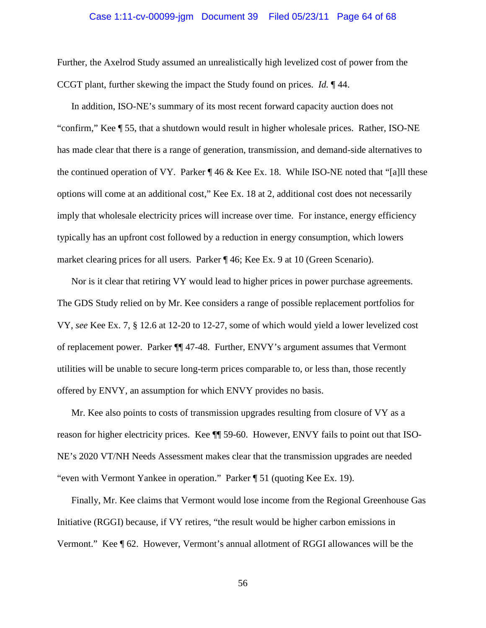#### Case 1:11-cv-00099-jgm Document 39 Filed 05/23/11 Page 64 of 68

Further, the Axelrod Study assumed an unrealistically high levelized cost of power from the CCGT plant, further skewing the impact the Study found on prices. *Id.* ¶ 44.

In addition, ISO-NE's summary of its most recent forward capacity auction does not "confirm," Kee ¶ 55, that a shutdown would result in higher wholesale prices. Rather, ISO-NE has made clear that there is a range of generation, transmission, and demand-side alternatives to the continued operation of VY. Parker  $\P$  46 & Kee Ex. 18. While ISO-NE noted that "[a]ll these options will come at an additional cost," Kee Ex. 18 at 2, additional cost does not necessarily imply that wholesale electricity prices will increase over time. For instance, energy efficiency typically has an upfront cost followed by a reduction in energy consumption, which lowers market clearing prices for all users. Parker ¶ 46; Kee Ex. 9 at 10 (Green Scenario).

Nor is it clear that retiring VY would lead to higher prices in power purchase agreements. The GDS Study relied on by Mr. Kee considers a range of possible replacement portfolios for VY, *see* Kee Ex. 7, § 12.6 at 12-20 to 12-27, some of which would yield a lower levelized cost of replacement power. Parker ¶¶ 47-48. Further, ENVY's argument assumes that Vermont utilities will be unable to secure long-term prices comparable to, or less than, those recently offered by ENVY, an assumption for which ENVY provides no basis.

Mr. Kee also points to costs of transmission upgrades resulting from closure of VY as a reason for higher electricity prices. Kee ¶¶ 59-60. However, ENVY fails to point out that ISO-NE's 2020 VT/NH Needs Assessment makes clear that the transmission upgrades are needed "even with Vermont Yankee in operation." Parker ¶ 51 (quoting Kee Ex. 19).

Finally, Mr. Kee claims that Vermont would lose income from the Regional Greenhouse Gas Initiative (RGGI) because, if VY retires, "the result would be higher carbon emissions in Vermont." Kee ¶ 62. However, Vermont's annual allotment of RGGI allowances will be the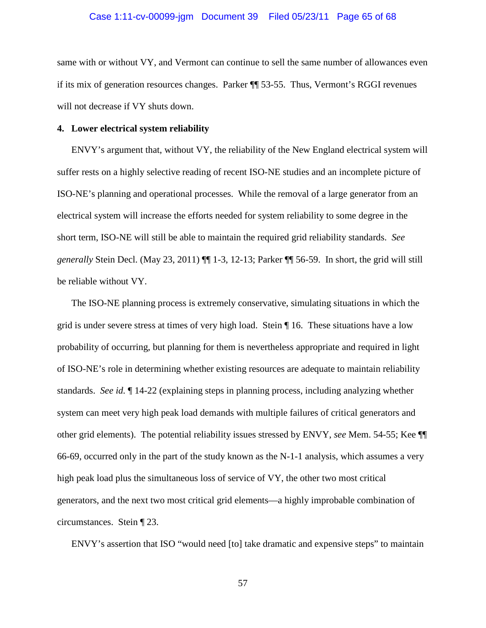#### Case 1:11-cv-00099-jgm Document 39 Filed 05/23/11 Page 65 of 68

same with or without VY, and Vermont can continue to sell the same number of allowances even if its mix of generation resources changes. Parker ¶¶ 53-55. Thus, Vermont's RGGI revenues will not decrease if VY shuts down.

#### **4. Lower electrical system reliability**

ENVY's argument that, without VY, the reliability of the New England electrical system will suffer rests on a highly selective reading of recent ISO-NE studies and an incomplete picture of ISO-NE's planning and operational processes. While the removal of a large generator from an electrical system will increase the efforts needed for system reliability to some degree in the short term, ISO-NE will still be able to maintain the required grid reliability standards. *See generally* Stein Decl. (May 23, 2011) ¶¶ 1-3, 12-13; Parker ¶¶ 56-59. In short, the grid will still be reliable without VY.

The ISO-NE planning process is extremely conservative, simulating situations in which the grid is under severe stress at times of very high load. Stein ¶ 16. These situations have a low probability of occurring, but planning for them is nevertheless appropriate and required in light of ISO-NE's role in determining whether existing resources are adequate to maintain reliability standards. *See id.* ¶ 14-22 (explaining steps in planning process, including analyzing whether system can meet very high peak load demands with multiple failures of critical generators and other grid elements). The potential reliability issues stressed by ENVY, *see* Mem. 54-55; Kee ¶¶ 66-69, occurred only in the part of the study known as the N-1-1 analysis, which assumes a very high peak load plus the simultaneous loss of service of VY, the other two most critical generators, and the next two most critical grid elements—a highly improbable combination of circumstances. Stein ¶ 23.

ENVY's assertion that ISO "would need [to] take dramatic and expensive steps" to maintain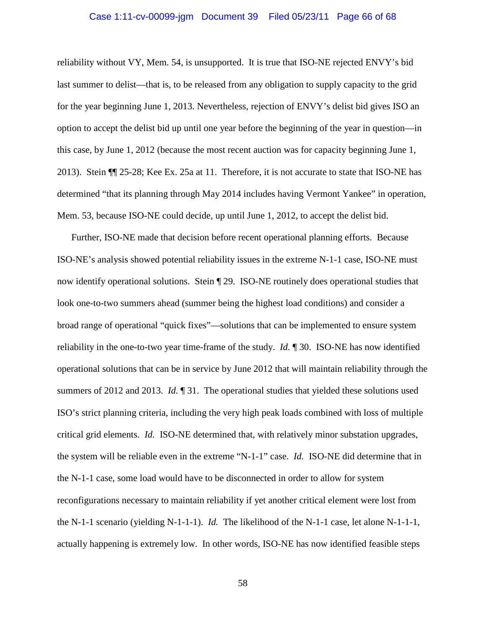#### Case 1:11-cv-00099-jgm Document 39 Filed 05/23/11 Page 66 of 68

reliability without VY, Mem. 54, is unsupported. It is true that ISO-NE rejected ENVY's bid last summer to delist—that is, to be released from any obligation to supply capacity to the grid for the year beginning June 1, 2013. Nevertheless, rejection of ENVY's delist bid gives ISO an option to accept the delist bid up until one year before the beginning of the year in question—in this case, by June 1, 2012 (because the most recent auction was for capacity beginning June 1, 2013). Stein ¶¶ 25-28; Kee Ex. 25a at 11. Therefore, it is not accurate to state that ISO-NE has determined "that its planning through May 2014 includes having Vermont Yankee" in operation, Mem. 53, because ISO-NE could decide, up until June 1, 2012, to accept the delist bid.

Further, ISO-NE made that decision before recent operational planning efforts. Because ISO-NE's analysis showed potential reliability issues in the extreme N-1-1 case, ISO-NE must now identify operational solutions. Stein ¶ 29. ISO-NE routinely does operational studies that look one-to-two summers ahead (summer being the highest load conditions) and consider a broad range of operational "quick fixes"—solutions that can be implemented to ensure system reliability in the one-to-two year time-frame of the study. *Id.* ¶ 30. ISO-NE has now identified operational solutions that can be in service by June 2012 that will maintain reliability through the summers of 2012 and 2013. *Id.* ¶ 31. The operational studies that yielded these solutions used ISO's strict planning criteria, including the very high peak loads combined with loss of multiple critical grid elements. *Id.* ISO-NE determined that, with relatively minor substation upgrades, the system will be reliable even in the extreme "N-1-1" case. *Id.* ISO-NE did determine that in the N-1-1 case, some load would have to be disconnected in order to allow for system reconfigurations necessary to maintain reliability if yet another critical element were lost from the N-1-1 scenario (yielding N-1-1-1). *Id.* The likelihood of the N-1-1 case, let alone N-1-1-1, actually happening is extremely low. In other words, ISO-NE has now identified feasible steps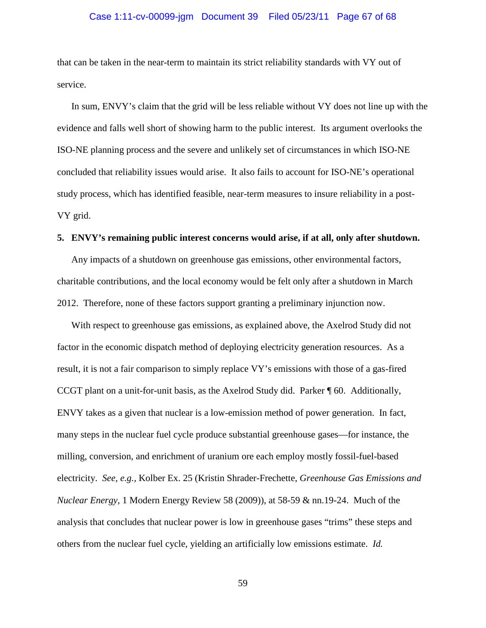# Case 1:11-cv-00099-jgm Document 39 Filed 05/23/11 Page 67 of 68

that can be taken in the near-term to maintain its strict reliability standards with VY out of service.

In sum, ENVY's claim that the grid will be less reliable without VY does not line up with the evidence and falls well short of showing harm to the public interest. Its argument overlooks the ISO-NE planning process and the severe and unlikely set of circumstances in which ISO-NE concluded that reliability issues would arise. It also fails to account for ISO-NE's operational study process, which has identified feasible, near-term measures to insure reliability in a post-VY grid.

#### **5. ENVY's remaining public interest concerns would arise, if at all, only after shutdown.**

Any impacts of a shutdown on greenhouse gas emissions, other environmental factors, charitable contributions, and the local economy would be felt only after a shutdown in March 2012. Therefore, none of these factors support granting a preliminary injunction now.

With respect to greenhouse gas emissions, as explained above, the Axelrod Study did not factor in the economic dispatch method of deploying electricity generation resources. As a result, it is not a fair comparison to simply replace VY's emissions with those of a gas-fired CCGT plant on a unit-for-unit basis, as the Axelrod Study did. Parker ¶ 60. Additionally, ENVY takes as a given that nuclear is a low-emission method of power generation. In fact, many steps in the nuclear fuel cycle produce substantial greenhouse gases—for instance, the milling, conversion, and enrichment of uranium ore each employ mostly fossil-fuel-based electricity. *See, e.g.,* Kolber Ex. 25 (Kristin Shrader-Frechette, *Greenhouse Gas Emissions and Nuclear Energy*, 1 Modern Energy Review 58 (2009)), at 58-59 & nn.19-24. Much of the analysis that concludes that nuclear power is low in greenhouse gases "trims" these steps and others from the nuclear fuel cycle, yielding an artificially low emissions estimate. *Id.*